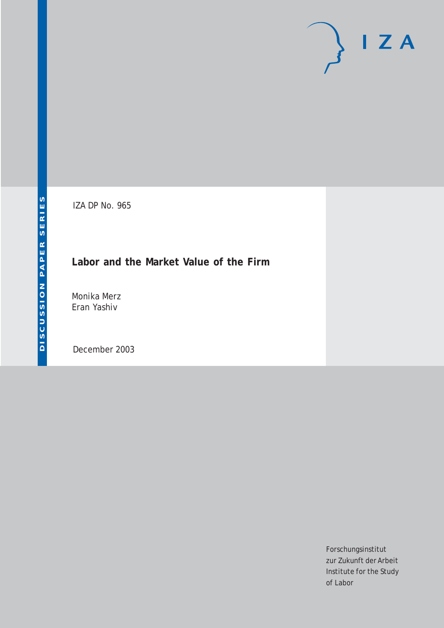# $\mathsf{I} \mathsf{Z} \mathsf{A}$

IZA DP No. 965

## **Labor and the Market Value of the Firm**

Monika Merz Eran Yashiv

December 2003

Forschungsinstitut zur Zukunft der Arbeit Institute for the Study of Labor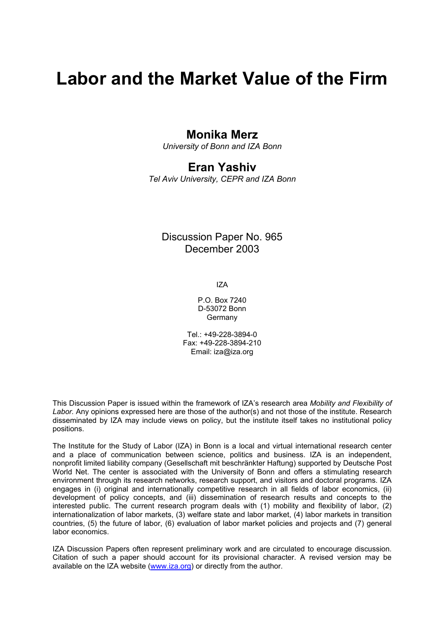# **Labor and the Market Value of the Firm**

## **Monika Merz**

*University of Bonn and IZA Bonn* 

## **Eran Yashiv**

*Tel Aviv University, CEPR and IZA Bonn* 

## Discussion Paper No. 965 December 2003

IZA

P.O. Box 7240 D-53072 Bonn Germany

Tel.: +49-228-3894-0 Fax: +49-228-3894-210 Email: [iza@iza.org](mailto:iza@iza.org)

This Discussion Paper is issued within the framework of IZA's research area *Mobility and Flexibility of Labor.* Any opinions expressed here are those of the author(s) and not those of the institute. Research disseminated by IZA may include views on policy, but the institute itself takes no institutional policy positions.

The Institute for the Study of Labor (IZA) in Bonn is a local and virtual international research center and a place of communication between science, politics and business. IZA is an independent, nonprofit limited liability company (Gesellschaft mit beschränkter Haftung) supported by Deutsche Post World Net. The center is associated with the University of Bonn and offers a stimulating research environment through its research networks, research support, and visitors and doctoral programs. IZA engages in (i) original and internationally competitive research in all fields of labor economics, (ii) development of policy concepts, and (iii) dissemination of research results and concepts to the interested public. The current research program deals with (1) mobility and flexibility of labor, (2) internationalization of labor markets, (3) welfare state and labor market, (4) labor markets in transition countries, (5) the future of labor, (6) evaluation of labor market policies and projects and (7) general labor economics.

IZA Discussion Papers often represent preliminary work and are circulated to encourage discussion. Citation of such a paper should account for its provisional character. A revised version may be available on the IZA website ([www.iza.org](http://www.iza.org/)) or directly from the author.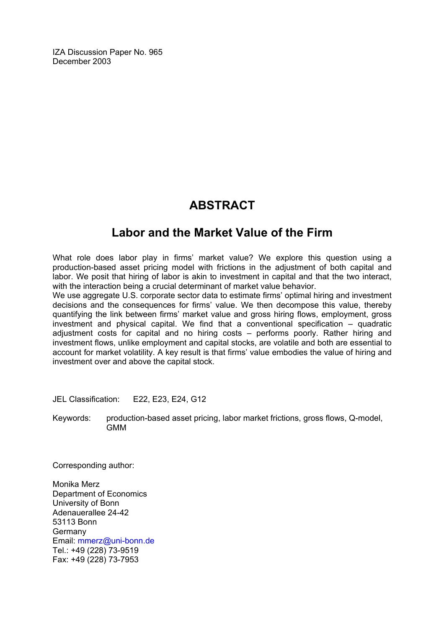IZA Discussion Paper No. 965 December 2003

## **ABSTRACT**

## **Labor and the Market Value of the Firm**

What role does labor play in firms' market value? We explore this question using a production-based asset pricing model with frictions in the adjustment of both capital and labor. We posit that hiring of labor is akin to investment in capital and that the two interact, with the interaction being a crucial determinant of market value behavior.

We use aggregate U.S. corporate sector data to estimate firms' optimal hiring and investment decisions and the consequences for firms' value. We then decompose this value, thereby quantifying the link between firms' market value and gross hiring flows, employment, gross investment and physical capital. We find that a conventional specification – quadratic adjustment costs for capital and no hiring costs – performs poorly. Rather hiring and investment flows, unlike employment and capital stocks, are volatile and both are essential to account for market volatility. A key result is that firms' value embodies the value of hiring and investment over and above the capital stock.

JEL Classification: E22, E23, E24, G12

Keywords: production-based asset pricing, labor market frictions, gross flows, Q-model, GMM

Corresponding author:

Monika Merz Department of Economics University of Bonn Adenauerallee 24-42 53113 Bonn **Germany** Email: [mmerz@uni-bonn.de](mailto:mmerz@uni-bonn.de) Tel.: +49 (228) 73-9519 Fax: +49 (228) 73-7953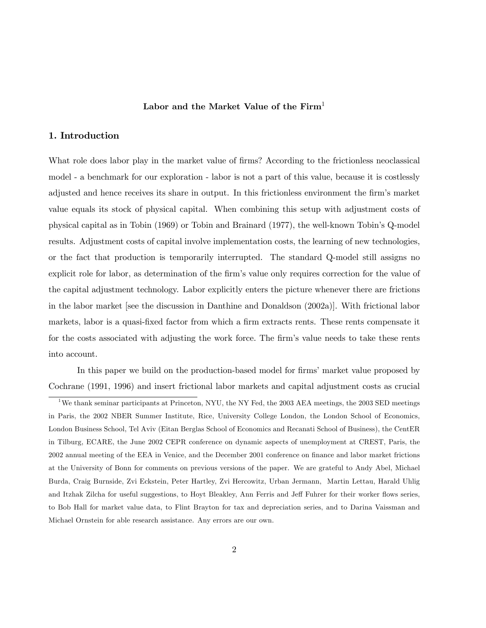#### Labor and the Market Value of the  $Firm<sup>1</sup>$

#### 1. Introduction

What role does labor play in the market value of firms? According to the frictionless neoclassical model - a benchmark for our exploration - labor is not a part of this value, because it is costlessly adjusted and hence receives its share in output. In this frictionless environment the firm's market value equals its stock of physical capital. When combining this setup with adjustment costs of physical capital as in Tobin (1969) or Tobin and Brainard (1977), the well-known Tobin's Q-model results. Adjustment costs of capital involve implementation costs, the learning of new technologies, or the fact that production is temporarily interrupted. The standard Q-model still assigns no explicit role for labor, as determination of the firm's value only requires correction for the value of the capital adjustment technology. Labor explicitly enters the picture whenever there are frictions in the labor market [see the discussion in Danthine and Donaldson (2002a)]. With frictional labor markets, labor is a quasi-fixed factor from which a firm extracts rents. These rents compensate it for the costs associated with adjusting the work force. The firm's value needs to take these rents into account.

In this paper we build on the production-based model for firms' market value proposed by Cochrane (1991, 1996) and insert frictional labor markets and capital adjustment costs as crucial

<sup>&</sup>lt;sup>1</sup>We thank seminar participants at Princeton, NYU, the NY Fed, the 2003 AEA meetings, the 2003 SED meetings in Paris, the 2002 NBER Summer Institute, Rice, University College London, the London School of Economics, London Business School, Tel Aviv (Eitan Berglas School of Economics and Recanati School of Business), the CentER in Tilburg, ECARE, the June 2002 CEPR conference on dynamic aspects of unemployment at CREST, Paris, the 2002 annual meeting of the EEA in Venice, and the December 2001 conference on finance and labor market frictions at the University of Bonn for comments on previous versions of the paper. We are grateful to Andy Abel, Michael Burda, Craig Burnside, Zvi Eckstein, Peter Hartley, Zvi Hercowitz, Urban Jermann, Martin Lettau, Harald Uhlig and Itzhak Zilcha for useful suggestions, to Hoyt Bleakley, Ann Ferris and Jeff Fuhrer for their worker flows series, to Bob Hall for market value data, to Flint Brayton for tax and depreciation series, and to Darina Vaissman and Michael Ornstein for able research assistance. Any errors are our own.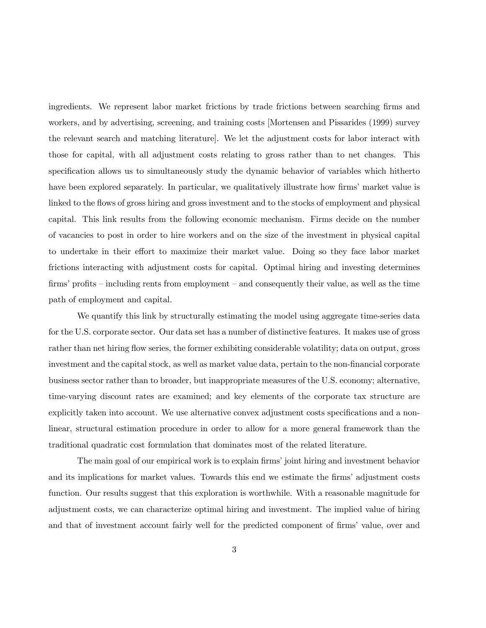ingredients. We represent labor market frictions by trade frictions between searching firms and workers, and by advertising, screening, and training costs [Mortensen and Pissarides (1999) survey the relevant search and matching literature]. We let the adjustment costs for labor interact with those for capital, with all adjustment costs relating to gross rather than to net changes. This specification allows us to simultaneously study the dynamic behavior of variables which hitherto have been explored separately. In particular, we qualitatively illustrate how firms' market value is linked to the flows of gross hiring and gross investment and to the stocks of employment and physical capital. This link results from the following economic mechanism. Firms decide on the number of vacancies to post in order to hire workers and on the size of the investment in physical capital to undertake in their effort to maximize their market value. Doing so they face labor market frictions interacting with adjustment costs for capital. Optimal hiring and investing determines firms' profits — including rents from employment — and consequently their value, as well as the time path of employment and capital.

We quantify this link by structurally estimating the model using aggregate time-series data for the U.S. corporate sector. Our data set has a number of distinctive features. It makes use of gross rather than net hiring flow series, the former exhibiting considerable volatility; data on output, gross investment and the capital stock, as well as market value data, pertain to the non-financial corporate business sector rather than to broader, but inappropriate measures of the U.S. economy; alternative, time-varying discount rates are examined; and key elements of the corporate tax structure are explicitly taken into account. We use alternative convex adjustment costs specifications and a nonlinear, structural estimation procedure in order to allow for a more general framework than the traditional quadratic cost formulation that dominates most of the related literature.

The main goal of our empirical work is to explain firms' joint hiring and investment behavior and its implications for market values. Towards this end we estimate the firms' adjustment costs function. Our results suggest that this exploration is worthwhile. With a reasonable magnitude for adjustment costs, we can characterize optimal hiring and investment. The implied value of hiring and that of investment account fairly well for the predicted component of firms' value, over and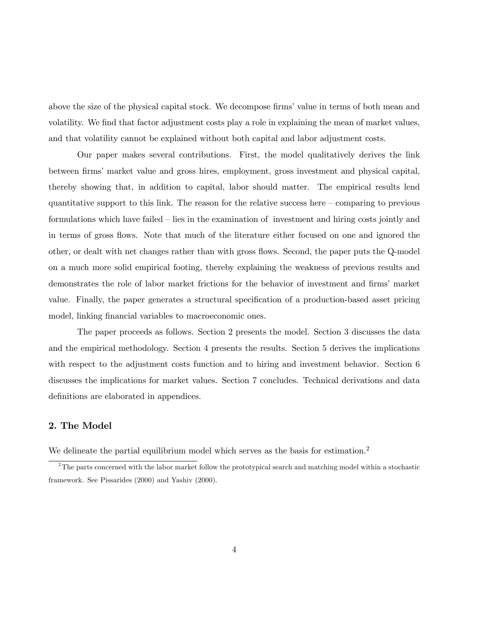above the size of the physical capital stock. We decompose firms' value in terms of both mean and volatility. We find that factor adjustment costs play a role in explaining the mean of market values, and that volatility cannot be explained without both capital and labor adjustment costs.

Our paper makes several contributions. First, the model qualitatively derives the link between firms' market value and gross hires, employment, gross investment and physical capital, thereby showing that, in addition to capital, labor should matter. The empirical results lend quantitative support to this link. The reason for the relative success here — comparing to previous formulations which have failed — lies in the examination of investment and hiring costs jointly and in terms of gross flows. Note that much of the literature either focused on one and ignored the other, or dealt with net changes rather than with gross flows. Second, the paper puts the Q-model on a much more solid empirical footing, thereby explaining the weakness of previous results and demonstrates the role of labor market frictions for the behavior of investment and firms' market value. Finally, the paper generates a structural specification of a production-based asset pricing model, linking financial variables to macroeconomic ones.

The paper proceeds as follows. Section 2 presents the model. Section 3 discusses the data and the empirical methodology. Section 4 presents the results. Section 5 derives the implications with respect to the adjustment costs function and to hiring and investment behavior. Section 6 discusses the implications for market values. Section 7 concludes. Technical derivations and data definitions are elaborated in appendices.

#### 2. The Model

We delineate the partial equilibrium model which serves as the basis for estimation.<sup>2</sup>

 $2^2$ The parts concerned with the labor market follow the prototypical search and matching model within a stochastic framework. See Pissarides (2000) and Yashiv (2000).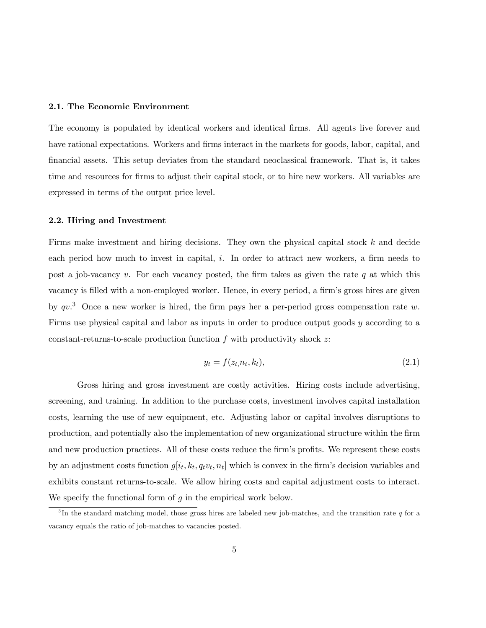#### 2.1. The Economic Environment

The economy is populated by identical workers and identical firms. All agents live forever and have rational expectations. Workers and firms interact in the markets for goods, labor, capital, and financial assets. This setup deviates from the standard neoclassical framework. That is, it takes time and resources for firms to adjust their capital stock, or to hire new workers. All variables are expressed in terms of the output price level.

#### 2.2. Hiring and Investment

Firms make investment and hiring decisions. They own the physical capital stock k and decide each period how much to invest in capital, i. In order to attract new workers, a firm needs to post a job-vacancy  $v$ . For each vacancy posted, the firm takes as given the rate  $q$  at which this vacancy is filled with a non-employed worker. Hence, in every period, a firm's gross hires are given by  $qv$ .<sup>3</sup> Once a new worker is hired, the firm pays her a per-period gross compensation rate w. Firms use physical capital and labor as inputs in order to produce output goods y according to a constant-returns-to-scale production function  $f$  with productivity shock  $z$ :

$$
y_t = f(z_t, n_t, k_t), \tag{2.1}
$$

Gross hiring and gross investment are costly activities. Hiring costs include advertising, screening, and training. In addition to the purchase costs, investment involves capital installation costs, learning the use of new equipment, etc. Adjusting labor or capital involves disruptions to production, and potentially also the implementation of new organizational structure within the firm and new production practices. All of these costs reduce the firm's profits. We represent these costs by an adjustment costs function  $g[i_t, k_t, q_t v_t, n_t]$  which is convex in the firm's decision variables and exhibits constant returns-to-scale. We allow hiring costs and capital adjustment costs to interact. We specify the functional form of  $q$  in the empirical work below.

 $3$ In the standard matching model, those gross hires are labeled new job-matches, and the transition rate q for a vacancy equals the ratio of job-matches to vacancies posted.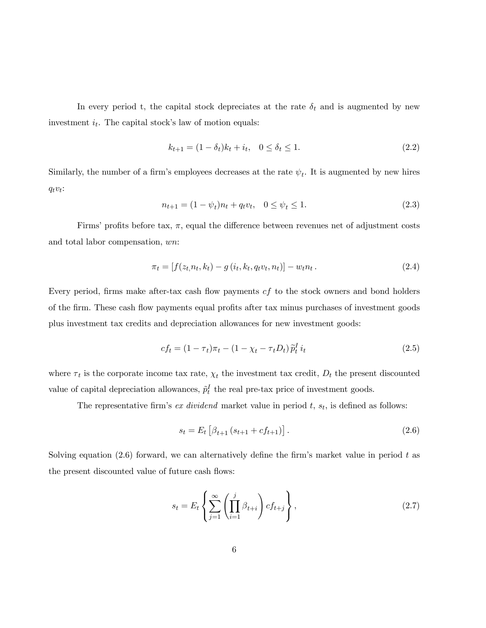In every period t, the capital stock depreciates at the rate  $\delta_t$  and is augmented by new investment  $i_t$ . The capital stock's law of motion equals:

$$
k_{t+1} = (1 - \delta_t)k_t + i_t, \quad 0 \le \delta_t \le 1.
$$
\n(2.2)

Similarly, the number of a firm's employees decreases at the rate  $\psi_t$ . It is augmented by new hires  $q_tv_t$ :

$$
n_{t+1} = (1 - \psi_t)n_t + q_t v_t, \quad 0 \le \psi_t \le 1.
$$
\n(2.3)

Firms' profits before tax,  $\pi$ , equal the difference between revenues net of adjustment costs and total labor compensation, wn:

$$
\pi_t = [f(z_t, n_t, k_t) - g(i_t, k_t, q_t v_t, n_t)] - w_t n_t.
$$
\n(2.4)

Every period, firms make after-tax cash flow payments  $cf$  to the stock owners and bond holders of the firm. These cash flow payments equal profits after tax minus purchases of investment goods plus investment tax credits and depreciation allowances for new investment goods:

$$
cf_t = (1 - \tau_t)\pi_t - (1 - \chi_t - \tau_t D_t)\tilde{p}_t^T i_t
$$
\n(2.5)

where  $\tau_t$  is the corporate income tax rate,  $\chi_t$  the investment tax credit,  $D_t$  the present discounted value of capital depreciation allowances,  $\tilde{p}_t^I$  the real pre-tax price of investment goods.

The representative firm's ex dividend market value in period  $t$ ,  $s_t$ , is defined as follows:

$$
s_t = E_t \left[ \beta_{t+1} \left( s_{t+1} + cf_{t+1} \right) \right]. \tag{2.6}
$$

Solving equation  $(2.6)$  forward, we can alternatively define the firm's market value in period t as the present discounted value of future cash flows:

$$
s_t = E_t \left\{ \sum_{j=1}^{\infty} \left( \prod_{i=1}^j \beta_{t+i} \right) cf_{t+j} \right\},\tag{2.7}
$$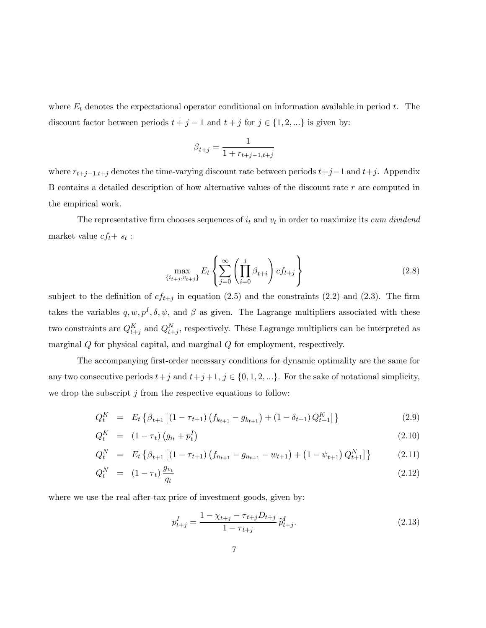where  $E_t$  denotes the expectational operator conditional on information available in period  $t$ . The discount factor between periods  $t + j - 1$  and  $t + j$  for  $j \in \{1, 2, ...\}$  is given by:

$$
\beta_{t+j} = \frac{1}{1 + r_{t+j-1,t+j}}
$$

where  $r_{t+j-1,t+j}$  denotes the time-varying discount rate between periods  $t+j-1$  and  $t+j$ . Appendix B contains a detailed description of how alternative values of the discount rate r are computed in the empirical work.

The representative firm chooses sequences of  $i_t$  and  $v_t$  in order to maximize its *cum dividend* market value  $cf_t + s_t$ :

$$
\max_{\{i_{t+j}, v_{t+j}\}} E_t \left\{ \sum_{j=0}^{\infty} \left( \prod_{i=0}^j \beta_{t+i} \right) cf_{t+j} \right\} \tag{2.8}
$$

subject to the definition of  $cf_{t+j}$  in equation (2.5) and the constraints (2.2) and (2.3). The firm takes the variables  $q, w, p<sup>I</sup>, \delta, \psi$ , and  $\beta$  as given. The Lagrange multipliers associated with these two constraints are  $Q_{t+j}^K$  and  $Q_{t+j}^N$ , respectively. These Lagrange multipliers can be interpreted as marginal Q for physical capital, and marginal Q for employment, respectively.

The accompanying first-order necessary conditions for dynamic optimality are the same for any two consecutive periods  $t+j$  and  $t+j+1$ ,  $j \in \{0,1,2,...\}$ . For the sake of notational simplicity, we drop the subscript  $j$  from the respective equations to follow:

$$
Q_t^K = E_t \left\{ \beta_{t+1} \left[ (1 - \tau_{t+1}) \left( f_{k_{t+1}} - g_{k_{t+1}} \right) + (1 - \delta_{t+1}) Q_{t+1}^K \right] \right\}
$$
(2.9)

$$
Q_t^K = (1 - \tau_t) \left( g_{i_t} + p_t^I \right) \tag{2.10}
$$

$$
Q_t^N = E_t \left\{ \beta_{t+1} \left[ (1 - \tau_{t+1}) \left( f_{n_{t+1}} - g_{n_{t+1}} - w_{t+1} \right) + \left( 1 - \psi_{t+1} \right) Q_{t+1}^N \right] \right\} \tag{2.11}
$$

$$
Q_t^N = (1 - \tau_t) \frac{g_{v_t}}{q_t}
$$
 (2.12)

where we use the real after-tax price of investment goods, given by:

$$
p_{t+j}^I = \frac{1 - \chi_{t+j} - \tau_{t+j} D_{t+j}}{1 - \tau_{t+j}} \widetilde{p}_{t+j}^I.
$$
\n(2.13)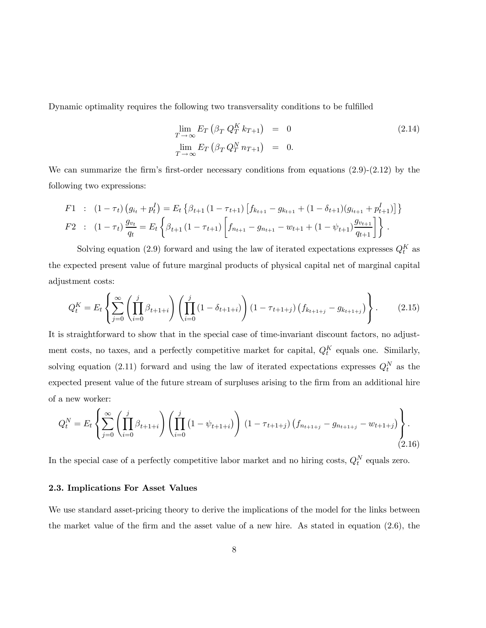Dynamic optimality requires the following two transversality conditions to be fulfilled

$$
\lim_{T \to \infty} E_T \left( \beta_T Q_T^K k_{T+1} \right) = 0
$$
\n
$$
\lim_{T \to \infty} E_T \left( \beta_T Q_T^N n_{T+1} \right) = 0.
$$
\n(2.14)

We can summarize the firm's first-order necessary conditions from equations  $(2.9)-(2.12)$  by the following two expressions:

$$
F1 : (1 - \tau_t) (g_{i_t} + p_t^I) = E_t \left\{ \beta_{t+1} (1 - \tau_{t+1}) [f_{k_{t+1}} - g_{k_{t+1}} + (1 - \delta_{t+1}) (g_{i_{t+1}} + p_{t+1}^I)] \right\}
$$
  
\n
$$
F2 : (1 - \tau_t) \frac{g_{v_t}}{q_t} = E_t \left\{ \beta_{t+1} (1 - \tau_{t+1}) [f_{n_{t+1}} - g_{n_{t+1}} - w_{t+1} + (1 - \psi_{t+1}) \frac{g_{v_{t+1}}}{q_{t+1}}] \right\}.
$$

Solving equation (2.9) forward and using the law of iterated expectations expresses  $Q_t^K$  as the expected present value of future marginal products of physical capital net of marginal capital adjustment costs:

$$
Q_t^K = E_t \left\{ \sum_{j=0}^{\infty} \left( \prod_{i=0}^j \beta_{t+1+i} \right) \left( \prod_{i=0}^j \left( 1 - \delta_{t+1+i} \right) \right) \left( 1 - \tau_{t+1+j} \right) \left( f_{k_{t+1+j}} - g_{k_{t+1+j}} \right) \right\}.
$$
 (2.15)

It is straightforward to show that in the special case of time-invariant discount factors, no adjustment costs, no taxes, and a perfectly competitive market for capital,  $Q_t^K$  equals one. Similarly, solving equation (2.11) forward and using the law of iterated expectations expresses  $Q_t^N$  as the expected present value of the future stream of surpluses arising to the firm from an additional hire of a new worker:

$$
Q_t^N = E_t \left\{ \sum_{j=0}^{\infty} \left( \prod_{i=0}^j \beta_{t+1+i} \right) \left( \prod_{i=0}^j \left( 1 - \psi_{t+1+i} \right) \right) \left( 1 - \tau_{t+1+j} \right) \left( f_{n_{t+1+j}} - g_{n_{t+1+j}} - w_{t+1+j} \right) \right\}.
$$
\n(2.16)

In the special case of a perfectly competitive labor market and no hiring costs,  $Q_t^N$  equals zero.

#### 2.3. Implications For Asset Values

We use standard asset-pricing theory to derive the implications of the model for the links between the market value of the firm and the asset value of a new hire. As stated in equation (2.6), the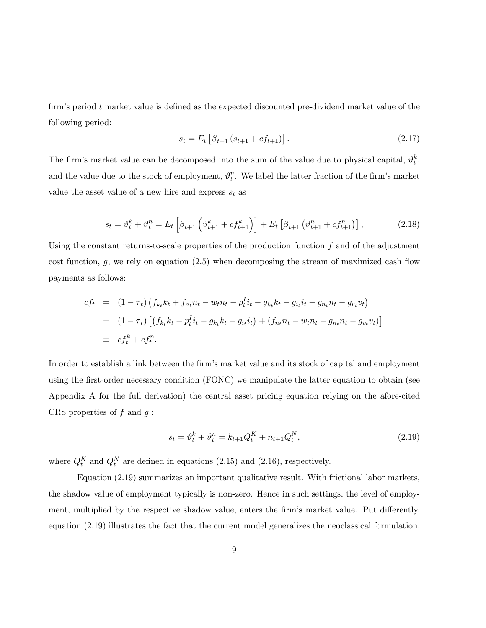firm's period  $t$  market value is defined as the expected discounted pre-dividend market value of the following period:

$$
s_t = E_t \left[ \beta_{t+1} \left( s_{t+1} + c f_{t+1} \right) \right]. \tag{2.17}
$$

The firm's market value can be decomposed into the sum of the value due to physical capital,  $\vartheta_t^k$ , and the value due to the stock of employment,  $\vartheta_t^n$ . We label the latter fraction of the firm's market value the asset value of a new hire and express  $s_t$  as

$$
s_t = \vartheta_t^k + \vartheta_t^n = E_t \left[ \beta_{t+1} \left( \vartheta_{t+1}^k + cf_{t+1}^k \right) \right] + E_t \left[ \beta_{t+1} \left( \vartheta_{t+1}^n + cf_{t+1}^n \right) \right], \tag{2.18}
$$

Using the constant returns-to-scale properties of the production function  $f$  and of the adjustment cost function,  $g$ , we rely on equation  $(2.5)$  when decomposing the stream of maximized cash flow payments as follows:

$$
cf_t = (1 - \tau_t) \left( f_{k_t} k_t + f_{n_t} n_t - w_t n_t - p_t^T i_t - g_{k_t} k_t - g_{i_t} i_t - g_{n_t} n_t - g_{v_t} v_t \right)
$$
  
= 
$$
(1 - \tau_t) \left[ \left( f_{k_t} k_t - p_t^T i_t - g_{k_t} k_t - g_{i_t} i_t \right) + \left( f_{n_t} n_t - w_t n_t - g_{n_t} n_t - g_{v_t} v_t \right) \right]
$$
  
\equiv 
$$
cf_t^k + cf_t^n.
$$

In order to establish a link between the firm's market value and its stock of capital and employment using the first-order necessary condition (FONC) we manipulate the latter equation to obtain (see Appendix A for the full derivation) the central asset pricing equation relying on the afore-cited CRS properties of  $f$  and  $g$ :

$$
s_t = \vartheta_t^k + \vartheta_t^n = k_{t+1} Q_t^K + n_{t+1} Q_t^N, \tag{2.19}
$$

where  $Q_t^K$  and  $Q_t^N$  are defined in equations (2.15) and (2.16), respectively.

Equation (2.19) summarizes an important qualitative result. With frictional labor markets, the shadow value of employment typically is non-zero. Hence in such settings, the level of employment, multiplied by the respective shadow value, enters the firm's market value. Put differently, equation (2.19) illustrates the fact that the current model generalizes the neoclassical formulation,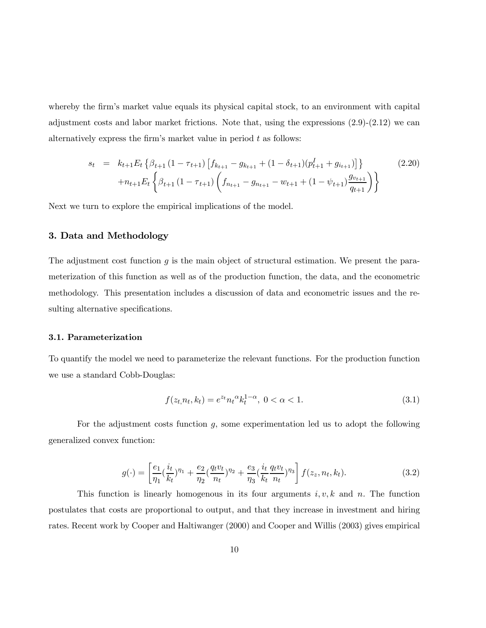whereby the firm's market value equals its physical capital stock, to an environment with capital adjustment costs and labor market frictions. Note that, using the expressions  $(2.9)-(2.12)$  we can alternatively express the firm's market value in period  $t$  as follows:

$$
s_{t} = k_{t+1}E_{t} \left\{ \beta_{t+1} \left( 1 - \tau_{t+1} \right) \left[ f_{k_{t+1}} - g_{k_{t+1}} + (1 - \delta_{t+1}) \left( p_{t+1}^{I} + g_{i_{t+1}} \right) \right] \right\}
$$
(2.20)  

$$
+ n_{t+1}E_{t} \left\{ \beta_{t+1} \left( 1 - \tau_{t+1} \right) \left( f_{n_{t+1}} - g_{n_{t+1}} - w_{t+1} + (1 - \psi_{t+1}) \frac{g_{v_{t+1}}}{q_{t+1}} \right) \right\}
$$

Next we turn to explore the empirical implications of the model.

#### 3. Data and Methodology

The adjustment cost function g is the main object of structural estimation. We present the parameterization of this function as well as of the production function, the data, and the econometric methodology. This presentation includes a discussion of data and econometric issues and the resulting alternative specifications.

#### 3.1. Parameterization

To quantify the model we need to parameterize the relevant functions. For the production function we use a standard Cobb-Douglas:

$$
f(z_t, n_t, k_t) = e^{z_t} n_t^{\alpha} k_t^{1-\alpha}, \ 0 < \alpha < 1. \tag{3.1}
$$

For the adjustment costs function  $q$ , some experimentation led us to adopt the following generalized convex function:

$$
g(\cdot) = \left[\frac{e_1}{\eta_1}(\frac{i_t}{k_t})^{\eta_1} + \frac{e_2}{\eta_2}(\frac{q_t v_t}{n_t})^{\eta_2} + \frac{e_3}{\eta_3}(\frac{i_t}{k_t}(\frac{q_t v_t}{n_t})^{\eta_3}\right] f(z_z, n_t, k_t).
$$
 (3.2)

This function is linearly homogenous in its four arguments  $i, v, k$  and n. The function postulates that costs are proportional to output, and that they increase in investment and hiring rates. Recent work by Cooper and Haltiwanger (2000) and Cooper and Willis (2003) gives empirical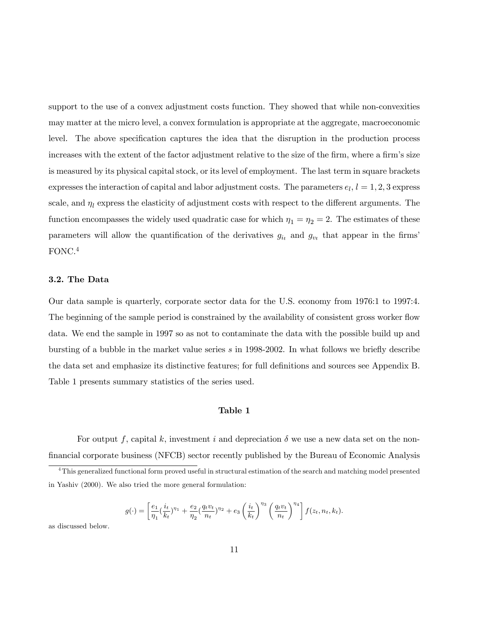support to the use of a convex adjustment costs function. They showed that while non-convexities may matter at the micro level, a convex formulation is appropriate at the aggregate, macroeconomic level. The above specification captures the idea that the disruption in the production process increases with the extent of the factor adjustment relative to the size of the firm, where a firm's size is measured by its physical capital stock, or its level of employment. The last term in square brackets expresses the interaction of capital and labor adjustment costs. The parameters  $e_l$ ,  $l = 1, 2, 3$  express scale, and  $\eta_l$  express the elasticity of adjustment costs with respect to the different arguments. The function encompasses the widely used quadratic case for which  $\eta_1 = \eta_2 = 2$ . The estimates of these parameters will allow the quantification of the derivatives  $g_{i_t}$  and  $g_{v_t}$  that appear in the firms' FONC.4

#### 3.2. The Data

Our data sample is quarterly, corporate sector data for the U.S. economy from 1976:1 to 1997:4. The beginning of the sample period is constrained by the availability of consistent gross worker flow data. We end the sample in 1997 so as not to contaminate the data with the possible build up and bursting of a bubble in the market value series s in 1998-2002. In what follows we briefly describe the data set and emphasize its distinctive features; for full definitions and sources see Appendix B. Table 1 presents summary statistics of the series used.

#### Table 1

For output f, capital k, investment i and depreciation  $\delta$  we use a new data set on the nonfinancial corporate business (NFCB) sector recently published by the Bureau of Economic Analysis

$$
g(\cdot) = \left[\frac{e_1}{\eta_1}(\frac{i_t}{k_t})^{\eta_1} + \frac{e_2}{\eta_2}(\frac{q_t v_t}{n_t})^{\eta_2} + e_3 \left(\frac{i_t}{k_t}\right)^{\eta_3} \left(\frac{q_t v_t}{n_t}\right)^{\eta_4}\right] f(z_t, n_t, k_t).
$$

as discussed below.

<sup>&</sup>lt;sup>4</sup>This generalized functional form proved useful in structural estimation of the search and matching model presented in Yashiv (2000). We also tried the more general formulation: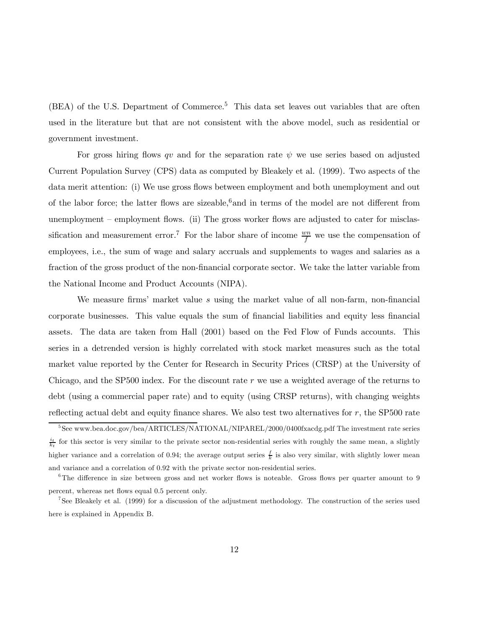$(BEA)$  of the U.S. Department of Commerce.<sup>5</sup> This data set leaves out variables that are often used in the literature but that are not consistent with the above model, such as residential or government investment.

For gross hiring flows qv and for the separation rate  $\psi$  we use series based on adjusted Current Population Survey (CPS) data as computed by Bleakely et al. (1999). Two aspects of the data merit attention: (i) We use gross flows between employment and both unemployment and out of the labor force; the latter flows are sizeable,<sup>6</sup> and in terms of the model are not different from unemployment — employment flows. (ii) The gross worker flows are adjusted to cater for misclassification and measurement error.<sup>7</sup> For the labor share of income  $\frac{wn}{f}$  we use the compensation of employees, i.e., the sum of wage and salary accruals and supplements to wages and salaries as a fraction of the gross product of the non-financial corporate sector. We take the latter variable from the National Income and Product Accounts (NIPA).

We measure firms' market value s using the market value of all non-farm, non-financial corporate businesses. This value equals the sum of financial liabilities and equity less financial assets. The data are taken from Hall (2001) based on the Fed Flow of Funds accounts. This series in a detrended version is highly correlated with stock market measures such as the total market value reported by the Center for Research in Security Prices (CRSP) at the University of Chicago, and the SP500 index. For the discount rate r we use a weighted average of the returns to debt (using a commercial paper rate) and to equity (using CRSP returns), with changing weights reflecting actual debt and equity finance shares. We also test two alternatives for  $r$ , the SP500 rate

<sup>&</sup>lt;sup>5</sup>See www.bea.doc.gov/bea/ARTICLES/NATIONAL/NIPAREL/2000/0400fxacdg.pdf The investment rate series  $\frac{i_t}{k_t}$  for this sector is very similar to the private sector non-residential series with roughly the same mean, a slightly higher variance and a correlation of 0.94; the average output series  $\frac{f}{k}$  is also very similar, with slightly lower mean and variance and a correlation of 0.92 with the private sector non-residential series.

<sup>&</sup>lt;sup>6</sup>The difference in size between gross and net worker flows is noteable. Gross flows per quarter amount to 9 percent, whereas net flows equal 0.5 percent only.

<sup>&</sup>lt;sup>7</sup>See Bleakely et al. (1999) for a discussion of the adjustment methodology. The construction of the series used here is explained in Appendix B.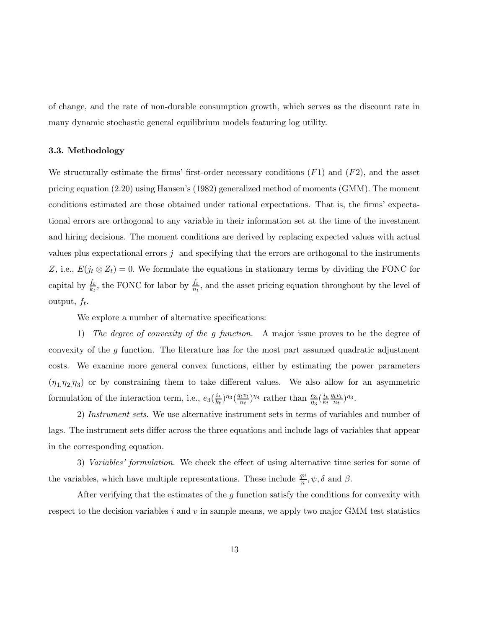of change, and the rate of non-durable consumption growth, which serves as the discount rate in many dynamic stochastic general equilibrium models featuring log utility.

#### 3.3. Methodology

We structurally estimate the firms' first-order necessary conditions  $(F1)$  and  $(F2)$ , and the asset pricing equation (2.20) using Hansen's (1982) generalized method of moments (GMM). The moment conditions estimated are those obtained under rational expectations. That is, the firms' expectational errors are orthogonal to any variable in their information set at the time of the investment and hiring decisions. The moment conditions are derived by replacing expected values with actual values plus expectational errors  $j$  and specifying that the errors are orthogonal to the instruments Z, i.e.,  $E(j_t \otimes Z_t)=0$ . We formulate the equations in stationary terms by dividing the FONC for capital by  $\frac{f_t}{k_t}$ , the FONC for labor by  $\frac{f_t}{n_t}$ , and the asset pricing equation throughout by the level of output,  $f_t$ .

We explore a number of alternative specifications:

1) The degree of convexity of the g function. A major issue proves to be the degree of convexity of the  $g$  function. The literature has for the most part assumed quadratic adjustment costs. We examine more general convex functions, either by estimating the power parameters  $(\eta_1,\eta_2,\eta_3)$  or by constraining them to take different values. We also allow for an asymmetric formulation of the interaction term, i.e.,  $e_3(\frac{i_t}{k_t})^{\eta_3}(\frac{q_tv_t}{n_t})^{\eta_4}$  rather than  $\frac{e_3}{\eta_3}(\frac{i_t}{k_t})$  $\frac{q_t v_t}{n_t}$ )<sup> $\eta_3$ </sup>.

2) Instrument sets. We use alternative instrument sets in terms of variables and number of lags. The instrument sets differ across the three equations and include lags of variables that appear in the corresponding equation.

3) Variables' formulation. We check the effect of using alternative time series for some of the variables, which have multiple representations. These include  $\frac{qv}{n}$ ,  $\psi$ ,  $\delta$  and  $\beta$ .

After verifying that the estimates of the  $g$  function satisfy the conditions for convexity with respect to the decision variables i and v in sample means, we apply two major GMM test statistics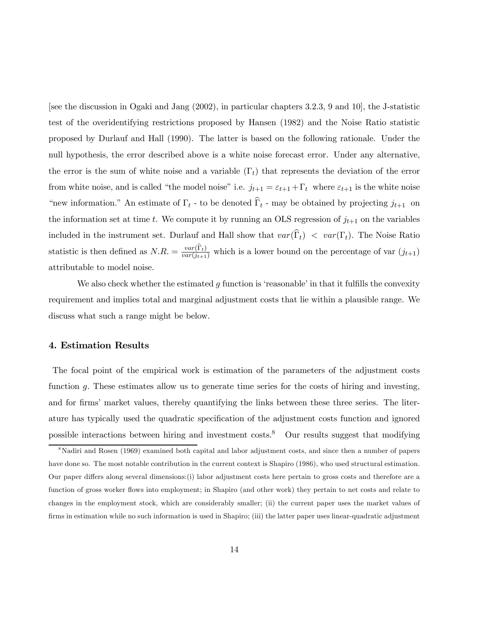[see the discussion in Ogaki and Jang (2002), in particular chapters 3.2.3, 9 and 10], the J-statistic test of the overidentifying restrictions proposed by Hansen (1982) and the Noise Ratio statistic proposed by Durlauf and Hall (1990). The latter is based on the following rationale. Under the null hypothesis, the error described above is a white noise forecast error. Under any alternative, the error is the sum of white noise and a variable  $(\Gamma_t)$  that represents the deviation of the error from white noise, and is called "the model noise" i.e.  $j_{t+1} = \varepsilon_{t+1} + \Gamma_t$  where  $\varepsilon_{t+1}$  is the white noise "new information." An estimate of  $\Gamma_t$  - to be denoted  $\widehat{\Gamma}_t$  - may be obtained by projecting  $j_{t+1}$  on the information set at time t. We compute it by running an OLS regression of  $j_{t+1}$  on the variables included in the instrument set. Durlauf and Hall show that  $var(\hat{\Gamma}_t) < var(\Gamma_t)$ . The Noise Ratio statistic is then defined as  $N.R. = \frac{var(\Gamma_t)}{var(j_{t+1})}$  which is a lower bound on the percentage of var  $(j_{t+1})$ attributable to model noise.

We also check whether the estimated g function is 'reasonable' in that it fulfills the convexity requirement and implies total and marginal adjustment costs that lie within a plausible range. We discuss what such a range might be below.

#### 4. Estimation Results

The focal point of the empirical work is estimation of the parameters of the adjustment costs function g. These estimates allow us to generate time series for the costs of hiring and investing, and for firms' market values, thereby quantifying the links between these three series. The literature has typically used the quadratic specification of the adjustment costs function and ignored possible interactions between hiring and investment  $costs$ .<sup>8</sup> Our results suggest that modifying

<sup>&</sup>lt;sup>8</sup>Nadiri and Rosen (1969) examined both capital and labor adjustment costs, and since then a number of papers have done so. The most notable contribution in the current context is Shapiro (1986), who used structural estimation. Our paper differs along several dimensions:(i) labor adjustment costs here pertain to gross costs and therefore are a function of gross worker flows into employment; in Shapiro (and other work) they pertain to net costs and relate to changes in the employment stock, which are considerably smaller; (ii) the current paper uses the market values of firms in estimation while no such information is used in Shapiro; (iii) the latter paper uses linear-quadratic adjustment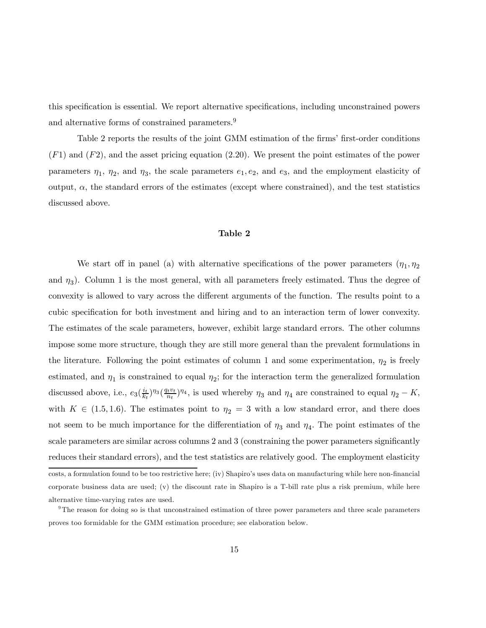this specification is essential. We report alternative specifications, including unconstrained powers and alternative forms of constrained parameters.<sup>9</sup>

Table 2 reports the results of the joint GMM estimation of the firms' first-order conditions  $(F1)$  and  $(F2)$ , and the asset pricing equation (2.20). We present the point estimates of the power parameters  $\eta_1$ ,  $\eta_2$ , and  $\eta_3$ , the scale parameters  $e_1, e_2$ , and  $e_3$ , and the employment elasticity of output,  $\alpha$ , the standard errors of the estimates (except where constrained), and the test statistics discussed above.

#### Table 2

We start off in panel (a) with alternative specifications of the power parameters  $(\eta_1, \eta_2)$ and  $\eta_3$ ). Column 1 is the most general, with all parameters freely estimated. Thus the degree of convexity is allowed to vary across the different arguments of the function. The results point to a cubic specification for both investment and hiring and to an interaction term of lower convexity. The estimates of the scale parameters, however, exhibit large standard errors. The other columns impose some more structure, though they are still more general than the prevalent formulations in the literature. Following the point estimates of column 1 and some experimentation,  $\eta_2$  is freely estimated, and  $\eta_1$  is constrained to equal  $\eta_2$ ; for the interaction term the generalized formulation discussed above, i.e.,  $e_3(\frac{i_t}{k_t})^{\eta_3}(\frac{q_tv_t}{n_t})^{\eta_4}$ , is used whereby  $\eta_3$  and  $\eta_4$  are constrained to equal  $\eta_2 - K$ , with  $K \in (1.5, 1.6)$ . The estimates point to  $\eta_2 = 3$  with a low standard error, and there does not seem to be much importance for the differentiation of  $\eta_3$  and  $\eta_4$ . The point estimates of the scale parameters are similar across columns 2 and 3 (constraining the power parameters significantly reduces their standard errors), and the test statistics are relatively good. The employment elasticity costs, a formulation found to be too restrictive here; (iv) Shapiro's uses data on manufacturing while here non-financial corporate business data are used; (v) the discount rate in Shapiro is a T-bill rate plus a risk premium, while here alternative time-varying rates are used.

 $9<sup>9</sup>$ The reason for doing so is that unconstrained estimation of three power parameters and three scale parameters proves too formidable for the GMM estimation procedure; see elaboration below.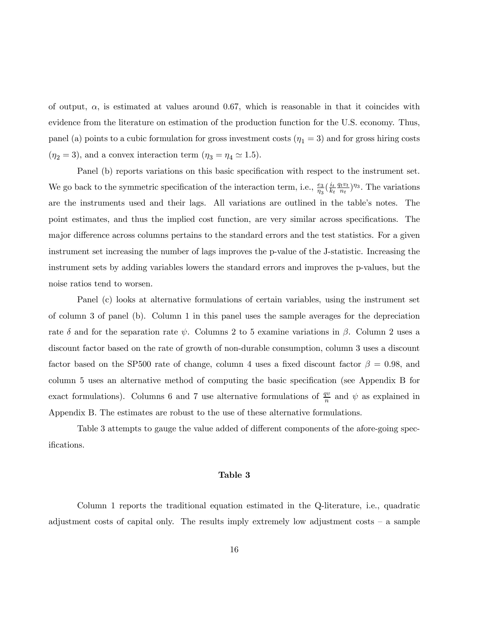of output,  $\alpha$ , is estimated at values around 0.67, which is reasonable in that it coincides with evidence from the literature on estimation of the production function for the U.S. economy. Thus, panel (a) points to a cubic formulation for gross investment costs  $(\eta_1 = 3)$  and for gross hiring costs  $(\eta_2 = 3)$ , and a convex interaction term  $(\eta_3 = \eta_4 \simeq 1.5)$ .

Panel (b) reports variations on this basic specification with respect to the instrument set. We go back to the symmetric specification of the interaction term, i.e.,  $\frac{e_3}{\eta_3}(\frac{i_t}{k_t})$  $\frac{q_t v_t}{n_t}$ <sup> $\eta_3$ </sup>. The variations are the instruments used and their lags. All variations are outlined in the table's notes. The point estimates, and thus the implied cost function, are very similar across specifications. The major difference across columns pertains to the standard errors and the test statistics. For a given instrument set increasing the number of lags improves the p-value of the J-statistic. Increasing the instrument sets by adding variables lowers the standard errors and improves the p-values, but the noise ratios tend to worsen.

Panel (c) looks at alternative formulations of certain variables, using the instrument set of column 3 of panel (b). Column 1 in this panel uses the sample averages for the depreciation rate  $\delta$  and for the separation rate  $\psi$ . Columns 2 to 5 examine variations in  $\beta$ . Column 2 uses a discount factor based on the rate of growth of non-durable consumption, column 3 uses a discount factor based on the SP500 rate of change, column 4 uses a fixed discount factor  $\beta = 0.98$ , and column 5 uses an alternative method of computing the basic specification (see Appendix B for exact formulations). Columns 6 and 7 use alternative formulations of  $\frac{qv}{n}$  and  $\psi$  as explained in Appendix B. The estimates are robust to the use of these alternative formulations.

Table 3 attempts to gauge the value added of different components of the afore-going specifications.

#### Table 3

Column 1 reports the traditional equation estimated in the Q-literature, i.e., quadratic adjustment costs of capital only. The results imply extremely low adjustment costs — a sample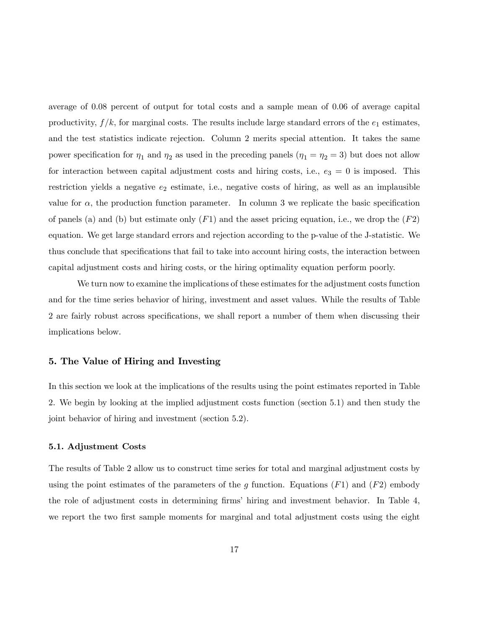average of 0.08 percent of output for total costs and a sample mean of 0.06 of average capital productivity,  $f/k$ , for marginal costs. The results include large standard errors of the  $e_1$  estimates, and the test statistics indicate rejection. Column 2 merits special attention. It takes the same power specification for  $\eta_1$  and  $\eta_2$  as used in the preceding panels  $(\eta_1 = \eta_2 = 3)$  but does not allow for interaction between capital adjustment costs and hiring costs, i.e.,  $e_3 = 0$  is imposed. This restriction yields a negative  $e_2$  estimate, i.e., negative costs of hiring, as well as an implausible value for  $\alpha$ , the production function parameter. In column 3 we replicate the basic specification of panels (a) and (b) but estimate only  $(F1)$  and the asset pricing equation, i.e., we drop the  $(F2)$ equation. We get large standard errors and rejection according to the p-value of the J-statistic. We thus conclude that specifications that fail to take into account hiring costs, the interaction between capital adjustment costs and hiring costs, or the hiring optimality equation perform poorly.

We turn now to examine the implications of these estimates for the adjustment costs function and for the time series behavior of hiring, investment and asset values. While the results of Table 2 are fairly robust across specifications, we shall report a number of them when discussing their implications below.

#### 5. The Value of Hiring and Investing

In this section we look at the implications of the results using the point estimates reported in Table 2. We begin by looking at the implied adjustment costs function (section 5.1) and then study the joint behavior of hiring and investment (section 5.2).

#### 5.1. Adjustment Costs

The results of Table 2 allow us to construct time series for total and marginal adjustment costs by using the point estimates of the parameters of the g function. Equations  $(F1)$  and  $(F2)$  embody the role of adjustment costs in determining firms' hiring and investment behavior. In Table 4, we report the two first sample moments for marginal and total adjustment costs using the eight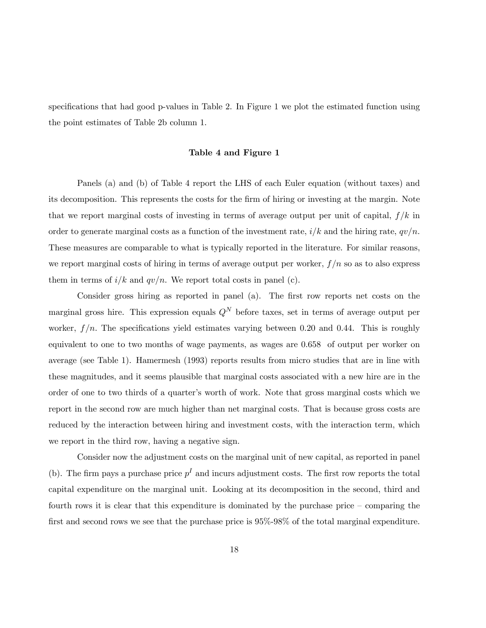specifications that had good p-values in Table 2. In Figure 1 we plot the estimated function using the point estimates of Table 2b column 1.

#### Table 4 and Figure 1

Panels (a) and (b) of Table 4 report the LHS of each Euler equation (without taxes) and its decomposition. This represents the costs for the firm of hiring or investing at the margin. Note that we report marginal costs of investing in terms of average output per unit of capital,  $f/k$  in order to generate marginal costs as a function of the investment rate,  $i/k$  and the hiring rate,  $qv/n$ . These measures are comparable to what is typically reported in the literature. For similar reasons, we report marginal costs of hiring in terms of average output per worker,  $f/n$  so as to also express them in terms of  $i/k$  and  $qv/n$ . We report total costs in panel (c).

Consider gross hiring as reported in panel (a). The first row reports net costs on the marginal gross hire. This expression equals  $Q<sup>N</sup>$  before taxes, set in terms of average output per worker,  $f/n$ . The specifications yield estimates varying between 0.20 and 0.44. This is roughly equivalent to one to two months of wage payments, as wages are 0.658 of output per worker on average (see Table 1). Hamermesh (1993) reports results from micro studies that are in line with these magnitudes, and it seems plausible that marginal costs associated with a new hire are in the order of one to two thirds of a quarter's worth of work. Note that gross marginal costs which we report in the second row are much higher than net marginal costs. That is because gross costs are reduced by the interaction between hiring and investment costs, with the interaction term, which we report in the third row, having a negative sign.

Consider now the adjustment costs on the marginal unit of new capital, as reported in panel (b). The firm pays a purchase price  $p<sup>I</sup>$  and incurs adjustment costs. The first row reports the total capital expenditure on the marginal unit. Looking at its decomposition in the second, third and fourth rows it is clear that this expenditure is dominated by the purchase price — comparing the first and second rows we see that the purchase price is 95%-98% of the total marginal expenditure.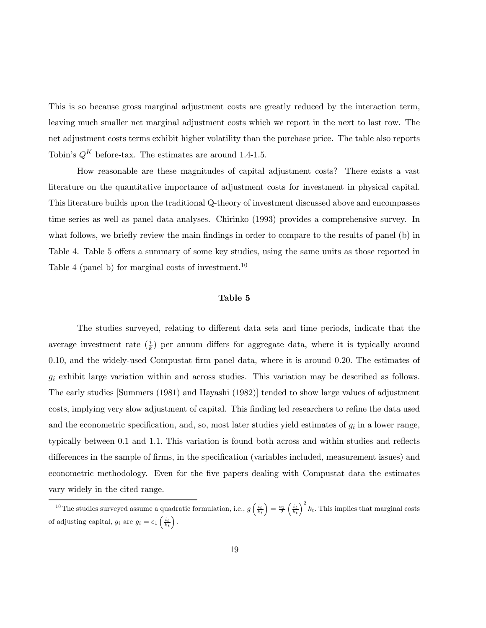This is so because gross marginal adjustment costs are greatly reduced by the interaction term, leaving much smaller net marginal adjustment costs which we report in the next to last row. The net adjustment costs terms exhibit higher volatility than the purchase price. The table also reports Tobin's  $Q^K$  before-tax. The estimates are around 1.4-1.5.

How reasonable are these magnitudes of capital adjustment costs? There exists a vast literature on the quantitative importance of adjustment costs for investment in physical capital. This literature builds upon the traditional Q-theory of investment discussed above and encompasses time series as well as panel data analyses. Chirinko (1993) provides a comprehensive survey. In what follows, we briefly review the main findings in order to compare to the results of panel (b) in Table 4. Table 5 offers a summary of some key studies, using the same units as those reported in Table 4 (panel b) for marginal costs of investment.<sup>10</sup>

#### Table 5

The studies surveyed, relating to different data sets and time periods, indicate that the average investment rate  $(\frac{i}{k})$  per annum differs for aggregate data, where it is typically around 0.10, and the widely-used Compustat firm panel data, where it is around 0.20. The estimates of  $g_i$  exhibit large variation within and across studies. This variation may be described as follows. The early studies [Summers (1981) and Hayashi (1982)] tended to show large values of adjustment costs, implying very slow adjustment of capital. This finding led researchers to refine the data used and the econometric specification, and, so, most later studies yield estimates of  $g_i$  in a lower range, typically between 0.1 and 1.1. This variation is found both across and within studies and reflects differences in the sample of firms, in the specification (variables included, measurement issues) and econometric methodology. Even for the five papers dealing with Compustat data the estimates vary widely in the cited range.

<sup>&</sup>lt;sup>10</sup>The studies surveyed assume a quadratic formulation, i.e.,  $g\left(\frac{i_t}{k_t}\right) = \frac{e_1}{2}\left(\frac{i_t}{k_t}\right)^2 k_t$ . This implies that marginal costs of adjusting capital,  $g_i$  are  $g_i = e_1 \left(\frac{i_t}{k_t}\right)$ .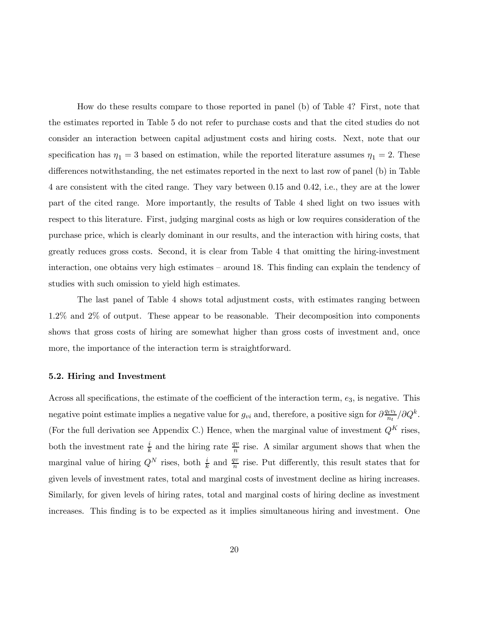How do these results compare to those reported in panel (b) of Table 4? First, note that the estimates reported in Table 5 do not refer to purchase costs and that the cited studies do not consider an interaction between capital adjustment costs and hiring costs. Next, note that our specification has  $\eta_1 = 3$  based on estimation, while the reported literature assumes  $\eta_1 = 2$ . These differences notwithstanding, the net estimates reported in the next to last row of panel (b) in Table 4 are consistent with the cited range. They vary between 0.15 and 0.42, i.e., they are at the lower part of the cited range. More importantly, the results of Table 4 shed light on two issues with respect to this literature. First, judging marginal costs as high or low requires consideration of the purchase price, which is clearly dominant in our results, and the interaction with hiring costs, that greatly reduces gross costs. Second, it is clear from Table 4 that omitting the hiring-investment interaction, one obtains very high estimates — around 18. This finding can explain the tendency of studies with such omission to yield high estimates.

The last panel of Table 4 shows total adjustment costs, with estimates ranging between 1.2% and 2% of output. These appear to be reasonable. Their decomposition into components shows that gross costs of hiring are somewhat higher than gross costs of investment and, once more, the importance of the interaction term is straightforward.

#### 5.2. Hiring and Investment

Across all specifications, the estimate of the coefficient of the interaction term,  $e_3$ , is negative. This negative point estimate implies a negative value for  $g_{vi}$  and, therefore, a positive sign for  $\frac{\partial u v_t}{\partial t}$ (For the full derivation see Appendix C.) Hence, when the marginal value of investment  $Q^K$  rises, both the investment rate  $\frac{i}{k}$  and the hiring rate  $\frac{qv}{n}$  rise. A similar argument shows that when the marginal value of hiring  $Q^N$  rises, both  $\frac{i}{k}$  and  $\frac{qv}{n}$  rise. Put differently, this result states that for given levels of investment rates, total and marginal costs of investment decline as hiring increases. Similarly, for given levels of hiring rates, total and marginal costs of hiring decline as investment increases. This finding is to be expected as it implies simultaneous hiring and investment. One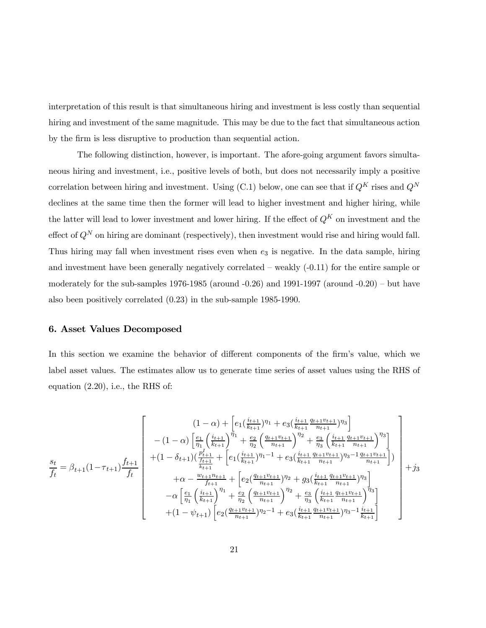interpretation of this result is that simultaneous hiring and investment is less costly than sequential hiring and investment of the same magnitude. This may be due to the fact that simultaneous action by the firm is less disruptive to production than sequential action.

The following distinction, however, is important. The afore-going argument favors simultaneous hiring and investment, i.e., positive levels of both, but does not necessarily imply a positive correlation between hiring and investment. Using (C.1) below, one can see that if  $Q^K$  rises and  $Q^N$ declines at the same time then the former will lead to higher investment and higher hiring, while the latter will lead to lower investment and lower hiring. If the effect of  $Q^K$  on investment and the effect of  $Q^N$  on hiring are dominant (respectively), then investment would rise and hiring would fall. Thus hiring may fall when investment rises even when  $e_3$  is negative. In the data sample, hiring and investment have been generally negatively correlated  $-$  weakly  $(-0.11)$  for the entire sample or moderately for the sub-samples  $1976-1985$  (around  $-0.26$ ) and  $1991-1997$  (around  $-0.20$ ) – but have also been positively correlated (0.23) in the sub-sample 1985-1990.

#### 6. Asset Values Decomposed

In this section we examine the behavior of different components of the firm's value, which we label asset values. The estimates allow us to generate time series of asset values using the RHS of equation (2.20), i.e., the RHS of:

$$
\frac{s_t}{f_t} = \beta_{t+1}(1-\tau_{t+1}) \frac{f_{t+1}}{f_t} \begin{bmatrix} (1-\alpha) + \left[ e_1(\frac{i_{t+1}}{k_{t+1}})^{\eta_1} + e_3(\frac{i_{t+1}}{k_{t+1}} \frac{q_{t+1}v_{t+1}}{n_{t+1}})^{\eta_3} \right] \\ -(1-\alpha) \left[ \frac{e_1}{\eta_1} \left( \frac{i_{t+1}}{k_{t+1}} \right)^{\eta_1} + \frac{e_2}{\eta_2} \left( \frac{q_{t+1}v_{t+1}}{n_{t+1}} \right)^{\eta_2} + \frac{e_3}{\eta_3} \left( \frac{i_{t+1}}{k_{t+1}} \frac{q_{t+1}v_{t+1}}{n_{t+1}} \right)^{\eta_3} \right] \\ +(1-\delta_{t+1}) \left( \frac{p_{t+1}}{f_{t+1}} + \left[ e_1(\frac{i_{t+1}}{k_{t+1}})^{\eta_1-1} + e_3(\frac{i_{t+1}}{k_{t+1}} \frac{q_{t+1}v_{t+1}}{n_{t+1}})^{\eta_3-1} \frac{q_{t+1}v_{t+1}}{n_{t+1}} \right] \right) \\ + \alpha - \frac{w_{t+1}n_{t+1}}{f_{t+1}} + \left[ e_2(\frac{q_{t+1}v_{t+1}}{n_{t+1}})^{\eta_2} + g_3(\frac{i_{t+1}}{k_{t+1}} \frac{q_{t+1}v_{t+1}}{n_{t+1}})^{\eta_3} \right] \\ - \alpha \left[ \frac{e_1}{\eta_1} \left( \frac{i_{t+1}}{k_{t+1}} \right)^{\eta_1} + \frac{e_2}{\eta_2} \left( \frac{q_{t+1}v_{t+1}}{n_{t+1}} \right)^{\eta_2} + \frac{e_3}{\eta_3} \left( \frac{i_{t+1}}{k_{t+1}} \frac{q_{t+1}v_{t+1}}{n_{t+1}} \right)^{\eta_3} \right] \\ + (1-\psi_{t+1}) \left[ e_2(\frac{q_{t+1}v_{t+1}}{n_{t+1}})^{\eta_2-1} + e_3(\frac{i_{t+1}}{k_{t+1}} \frac{q_{t+1
$$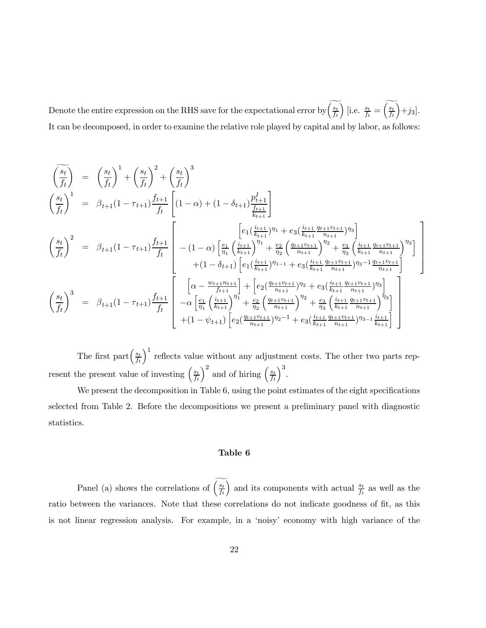Denote the entire expression on the RHS save for the expectational error by  $\left(\frac{s_t}{f_t}\right)$ ) [i.e.  $\frac{s_t}{f_t} = \left(\frac{s_t}{f_t}\right)$  $+*j*<sub>3</sub>$ . It can be decomposed, in order to examine the relative role played by capital and by labor, as follows:

$$
\begin{aligned}\n\left(\frac{\overline{s}_{t}}{f_{t}}\right) &= \left(\frac{s_{t}}{f_{t}}\right)^{1} + \left(\frac{s_{t}}{f_{t}}\right)^{2} + \left(\frac{s_{t}}{f_{t}}\right)^{3} \\
\left(\frac{s_{t}}{f_{t}}\right)^{1} &= \beta_{t+1}(1-\tau_{t+1})\frac{f_{t+1}}{f_{t}} \left[ (1-\alpha) + (1-\delta_{t+1})\frac{p_{t+1}^{I}}{\frac{f_{t+1}}{f_{t+1}}}\right] \\
\left(\frac{s_{t}}{f_{t}}\right)^{2} &= \beta_{t+1}(1-\tau_{t+1})\frac{f_{t+1}}{f_{t}} \left[ -(1-\alpha) \left[\frac{e_{1}}{\eta_{1}}\left(\frac{i_{t+1}}{k_{t+1}}\right)^{\eta_{1}} + e_{3}\left(\frac{i_{t+1}}{k_{t+1}}\frac{q_{t+1}v_{t+1}}{n_{t+1}}\right)^{\eta_{3}}\right] \\
&\quad + (1-\delta_{t+1}) \left[e_{1}\left(\frac{i_{t+1}}{k_{t+1}}\right)^{\eta_{1-1}} + e_{3}\left(\frac{i_{t+1}}{k_{t+1}}\frac{q_{t+1}v_{t+1}}{n_{t+1}}\right)^{\eta_{3}-1}\frac{q_{t+1}v_{t+1}}{n_{t+1}}\right] \\
&\quad \left(\frac{s_{t}}{f_{t}}\right)^{3} &= \beta_{t+1}(1-\tau_{t+1})\frac{f_{t+1}}{f_{t}} \left[ -\alpha \left[\frac{e_{1}}{\eta_{1}}\left(\frac{i_{t+1}}{k_{t+1}}\right)^{\eta_{1}} + \left[e_{2}\left(\frac{q_{t+1}v_{t+1}}{n_{t+1}}\right)^{\eta_{2}} + e_{3}\left(\frac{i_{t+1}}{k_{t+1}}\frac{q_{t+1}v_{t+1}}{n_{t+1}}\right)^{\eta_{3}}\right] \\
&\quad + (1-\psi_{t+1})\frac{f_{t+1}}{f_{t}} \left[ -\alpha \left[\frac{e_{1}}{\eta_{1}}\left(\frac{i_{t+1}}{k_{t+1}}\right)^{\eta_{1}} + \frac{e_{2}}{\eta_{2}}\left(\frac{q_{t+1}v_{t
$$

The first part $\left(\frac{s_t}{f_t}\right)$  $\int_0^1$  reflects value without any adjustment costs. The other two parts represent the present value of investing  $\left(\frac{s_t}{f_t}\right)$  $\int^2$  and of hiring  $\left(\frac{s_t}{f_t}\right)$  $\big)^3$ .

We present the decomposition in Table 6, using the point estimates of the eight specifications selected from Table 2. Before the decompositions we present a preliminary panel with diagnostic statistics.

#### Table 6

Panel (a) shows the correlations of  $\left(\frac{s_t}{f_t}\right)$ ) and its components with actual  $\frac{s_t}{f_t}$  as well as the ratio between the variances. Note that these correlations do not indicate goodness of fit, as this is not linear regression analysis. For example, in a 'noisy' economy with high variance of the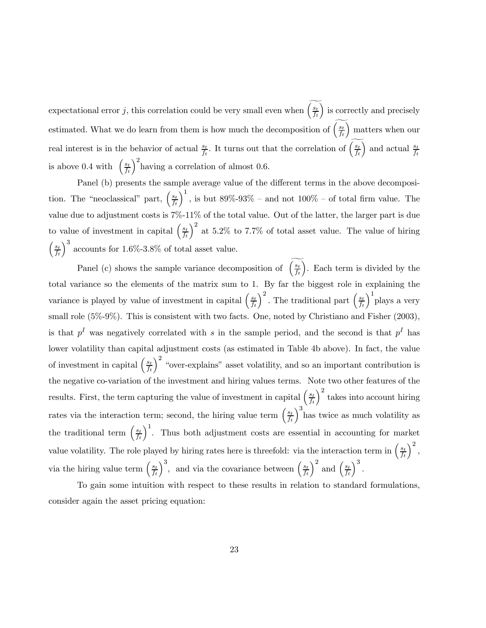expectational error j, this correlation could be very small even when  $\left(\frac{s_t}{f_t}\right)$ ) is correctly and precisely estimated. What we do learn from them is how much the decomposition of  $\left(\frac{s_t}{f_t}\right)$ ) matters when our real interest is in the behavior of actual  $\frac{s_t}{f_t}$ . It turns out that the correlation of  $\left(\frac{s_t}{f_t}\right)$ ) and actual  $\frac{s_t}{f_t}$ is above 0.4 with  $\left(\frac{s_t}{f_t}\right)$  $\int_{0}^{2}$ having a correlation of almost 0.6.

Panel (b) presents the sample average value of the different terms in the above decomposition. The "neoclassical" part,  $\left(\frac{s_t}{f_t}\right)$  $\int_1^1$ , is but 89%-93% – and not 100% – of total firm value. The value due to adjustment costs is 7%-11% of the total value. Out of the latter, the larger part is due to value of investment in capital  $\left(\frac{s_t}{f_t}\right)$  $\int^2$  at 5.2% to 7.7% of total asset value. The value of hiring  $\int s_t$  $\overline{f_t}$  $\big)^3$  accounts for 1.6%-3.8% of total asset value.

Panel (c) shows the sample variance decomposition of  $\left(\frac{s_t}{f_t}\right)$ ). Each term is divided by the total variance so the elements of the matrix sum to 1. By far the biggest role in explaining the variance is played by value of investment in capital  $\left(\frac{s_t}{f_t}\right)$  $\int^2$ . The traditional part  $\left(\frac{s_t}{f_t}\right)$  $\int_{1}^{1}$ plays a very small role  $(5\% - 9\%)$ . This is consistent with two facts. One, noted by Christiano and Fisher (2003), is that  $p<sup>I</sup>$  was negatively correlated with s in the sample period, and the second is that  $p<sup>I</sup>$  has lower volatility than capital adjustment costs (as estimated in Table 4b above). In fact, the value of investment in capital  $\left(\frac{s_t}{f_t}\right)$  $\int^2$  "over-explains" asset volatility, and so an important contribution is the negative co-variation of the investment and hiring values terms. Note two other features of the results. First, the term capturing the value of investment in capital  $\left(\frac{s_t}{f_t}\right)$  $\big)$ <sup>2</sup> takes into account hiring rates via the interaction term; second, the hiring value term  $\left(\frac{s_t}{f_t}\right)$  $\int_{0}^{3}$  has twice as much volatility as the traditional term  $\left(\frac{s_t}{f_t}\right)$  $\int_0^1$ . Thus both adjustment costs are essential in accounting for market value volatility. The role played by hiring rates here is threefold: via the interaction term in  $\left(\frac{s_i}{t}\right)$  $\overline{f_t}$  $\big)^2$ , via the hiring value term  $\left(\frac{s_t}{f_t}\right)$  $\int_{0}^{3}$ , and via the covariance between  $\left(\frac{s_t}{f_t}\right)$  $\int^2$  and  $\left(\frac{s_t}{f_t}\right)$  $\big)^3$ .

To gain some intuition with respect to these results in relation to standard formulations, consider again the asset pricing equation: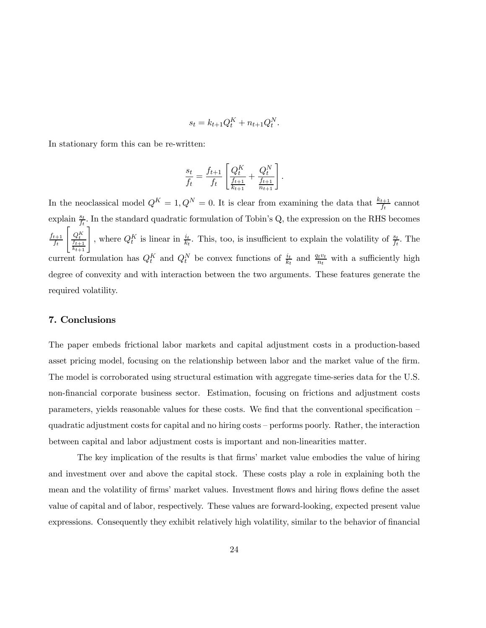$$
s_t = k_{t+1}Q_t^K + n_{t+1}Q_t^N.
$$

In stationary form this can be re-written:

$$
\frac{s_t}{f_t} = \frac{f_{t+1}}{f_t} \left[ \frac{Q_t^K}{\frac{f_{t+1}}{k_{t+1}}} + \frac{Q_t^N}{\frac{f_{t+1}}{n_{t+1}}} \right].
$$

In the neoclassical model  $Q^K = 1, Q^N = 0$ . It is clear from examining the data that  $\frac{k_{t+1}}{f_t}$  cannot explain  $\frac{s_t}{f_t}$ . In the standard quadratic formulation of Tobin's Q, the expression on the RHS becomes  $f_{t+1}$  $\overline{f_t}$  $\left[ \frac{Q_t^K}{\frac{f_{t+1}}{f_t}} \right]$  $\left[\begin{matrix} Q^K_t \ \frac{f_{t+1}}{k_{t+1}} \end{matrix} \right]$ , where  $Q_t^K$  is linear in  $\frac{i_t}{k_t}$ . This, too, is insufficient to explain the volatility of  $\frac{s_t}{f_t}$ . The current formulation has  $Q_t^K$  and  $Q_t^N$  be convex functions of  $\frac{i_t}{k_t}$  and  $\frac{q_t v_t}{n_t}$  with a sufficiently high degree of convexity and with interaction between the two arguments. These features generate the required volatility.

#### 7. Conclusions

The paper embeds frictional labor markets and capital adjustment costs in a production-based asset pricing model, focusing on the relationship between labor and the market value of the firm. The model is corroborated using structural estimation with aggregate time-series data for the U.S. non-financial corporate business sector. Estimation, focusing on frictions and adjustment costs parameters, yields reasonable values for these costs. We find that the conventional specification quadratic adjustment costs for capital and no hiring costs — performs poorly. Rather, the interaction between capital and labor adjustment costs is important and non-linearities matter.

The key implication of the results is that firms' market value embodies the value of hiring and investment over and above the capital stock. These costs play a role in explaining both the mean and the volatility of firms' market values. Investment flows and hiring flows define the asset value of capital and of labor, respectively. These values are forward-looking, expected present value expressions. Consequently they exhibit relatively high volatility, similar to the behavior of financial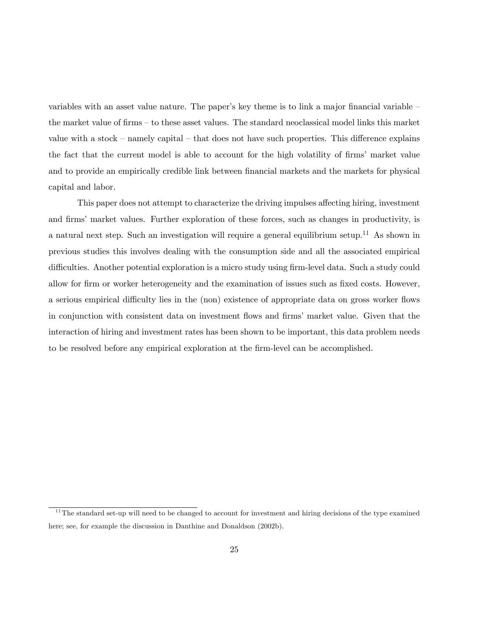variables with an asset value nature. The paper's key theme is to link a major financial variable the market value of firms — to these asset values. The standard neoclassical model links this market value with a stock — namely capital — that does not have such properties. This difference explains the fact that the current model is able to account for the high volatility of firms' market value and to provide an empirically credible link between financial markets and the markets for physical capital and labor.

This paper does not attempt to characterize the driving impulses affecting hiring, investment and firms' market values. Further exploration of these forces, such as changes in productivity, is a natural next step. Such an investigation will require a general equilibrium setup.<sup>11</sup> As shown in previous studies this involves dealing with the consumption side and all the associated empirical difficulties. Another potential exploration is a micro study using firm-level data. Such a study could allow for firm or worker heterogeneity and the examination of issues such as fixed costs. However, a serious empirical difficulty lies in the (non) existence of appropriate data on gross worker flows in conjunction with consistent data on investment flows and firms' market value. Given that the interaction of hiring and investment rates has been shown to be important, this data problem needs to be resolved before any empirical exploration at the firm-level can be accomplished.

 $11$ The standard set-up will need to be changed to account for investment and hiring decisions of the type examined here; see, for example the discussion in Danthine and Donaldson (2002b).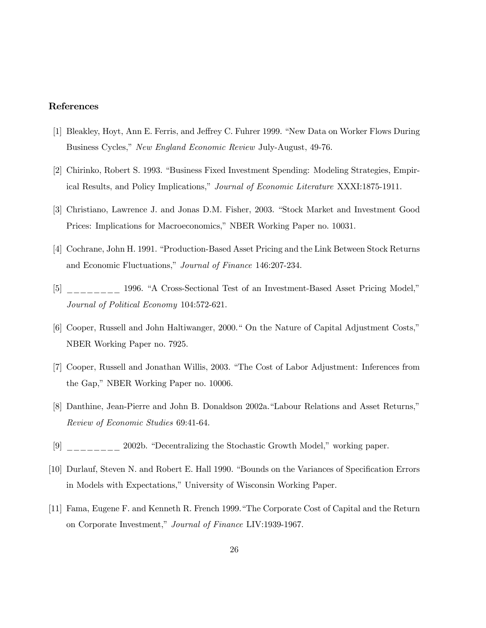#### References

- [1] Bleakley, Hoyt, Ann E. Ferris, and Jeffrey C. Fuhrer 1999. "New Data on Worker Flows During Business Cycles," New England Economic Review July-August, 49-76.
- [2] Chirinko, Robert S. 1993. "Business Fixed Investment Spending: Modeling Strategies, Empirical Results, and Policy Implications," Journal of Economic Literature XXXI:1875-1911.
- [3] Christiano, Lawrence J. and Jonas D.M. Fisher, 2003. "Stock Market and Investment Good Prices: Implications for Macroeconomics," NBER Working Paper no. 10031.
- [4] Cochrane, John H. 1991. "Production-Based Asset Pricing and the Link Between Stock Returns and Economic Fluctuations," Journal of Finance 146:207-234.
- [5] \_\_\_\_\_\_\_ 1996. "A Cross-Sectional Test of an Investment-Based Asset Pricing Model," Journal of Political Economy 104:572-621.
- [6] Cooper, Russell and John Haltiwanger, 2000." On the Nature of Capital Adjustment Costs," NBER Working Paper no. 7925.
- [7] Cooper, Russell and Jonathan Willis, 2003. "The Cost of Labor Adjustment: Inferences from the Gap," NBER Working Paper no. 10006.
- [8] Danthine, Jean-Pierre and John B. Donaldson 2002a."Labour Relations and Asset Returns," Review of Economic Studies 69:41-64.
- [9] \_\_\_\_\_\_\_\_ 2002b. "Decentralizing the Stochastic Growth Model," working paper.
- [10] Durlauf, Steven N. and Robert E. Hall 1990. "Bounds on the Variances of Specification Errors in Models with Expectations," University of Wisconsin Working Paper.
- [11] Fama, Eugene F. and Kenneth R. French 1999."The Corporate Cost of Capital and the Return on Corporate Investment," Journal of Finance LIV:1939-1967.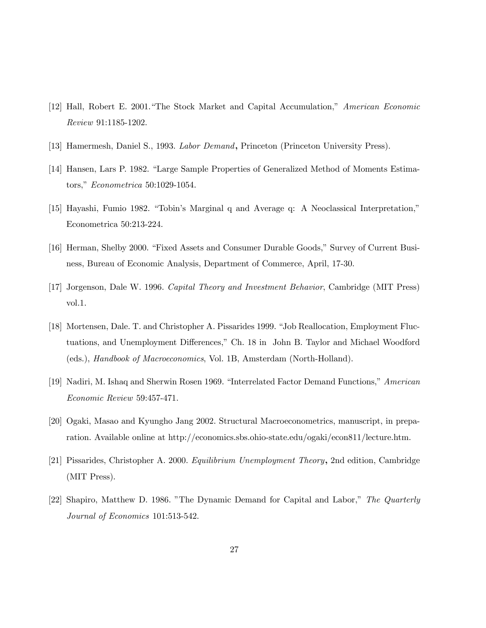- [12] Hall, Robert E. 2001."The Stock Market and Capital Accumulation," American Economic Review 91:1185-1202.
- [13] Hamermesh, Daniel S., 1993. Labor Demand, Princeton (Princeton University Press).
- [14] Hansen, Lars P. 1982. "Large Sample Properties of Generalized Method of Moments Estimators," Econometrica 50:1029-1054.
- [15] Hayashi, Fumio 1982. "Tobin's Marginal q and Average q: A Neoclassical Interpretation," Econometrica 50:213-224.
- [16] Herman, Shelby 2000. "Fixed Assets and Consumer Durable Goods," Survey of Current Business, Bureau of Economic Analysis, Department of Commerce, April, 17-30.
- [17] Jorgenson, Dale W. 1996. Capital Theory and Investment Behavior, Cambridge (MIT Press) vol.1.
- [18] Mortensen, Dale. T. and Christopher A. Pissarides 1999. "Job Reallocation, Employment Fluctuations, and Unemployment Differences," Ch. 18 in John B. Taylor and Michael Woodford (eds.), Handbook of Macroeconomics, Vol. 1B, Amsterdam (North-Holland).
- [19] Nadiri, M. Ishaq and Sherwin Rosen 1969. "Interrelated Factor Demand Functions," American Economic Review 59:457-471.
- [20] Ogaki, Masao and Kyungho Jang 2002. Structural Macroeconometrics, manuscript, in preparation. Available online at http://economics.sbs.ohio-state.edu/ogaki/econ811/lecture.htm.
- [21] Pissarides, Christopher A. 2000. Equilibrium Unemployment Theory, 2nd edition, Cambridge (MIT Press).
- [22] Shapiro, Matthew D. 1986. "The Dynamic Demand for Capital and Labor," The Quarterly Journal of Economics 101:513-542.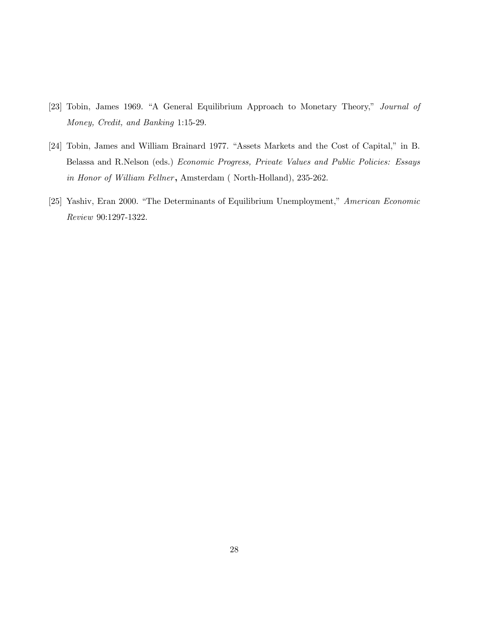- [23] Tobin, James 1969. "A General Equilibrium Approach to Monetary Theory," Journal of Money, Credit, and Banking 1:15-29.
- [24] Tobin, James and William Brainard 1977. "Assets Markets and the Cost of Capital," in B. Belassa and R.Nelson (eds.) Economic Progress, Private Values and Public Policies: Essays in Honor of William Fellner, Amsterdam (North-Holland), 235-262.
- [25] Yashiv, Eran 2000. "The Determinants of Equilibrium Unemployment," American Economic Review 90:1297-1322.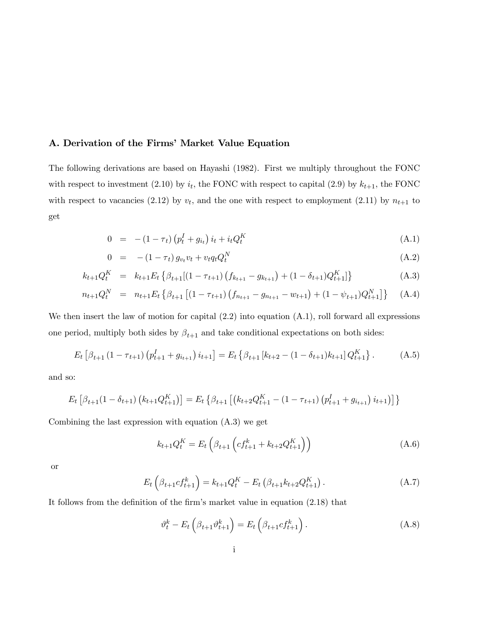#### A. Derivation of the Firms' Market Value Equation

The following derivations are based on Hayashi (1982). First we multiply throughout the FONC with respect to investment (2.10) by  $i_t$ , the FONC with respect to capital (2.9) by  $k_{t+1}$ , the FONC with respect to vacancies (2.12) by  $v_t$ , and the one with respect to employment (2.11) by  $n_{t+1}$  to get

$$
0 = - (1 - \tau_t) (p_t^I + g_{i_t}) i_t + i_t Q_t^K
$$
\n(A.1)

$$
0 = - (1 - \tau_t) g_{v_t} v_t + v_t q_t Q_t^N \tag{A.2}
$$

$$
k_{t+1}Q_t^K = k_{t+1}E_t \left\{ \beta_{t+1}[(1 - \tau_{t+1})\left(f_{k_{t+1}} - g_{k_{t+1}}\right) + (1 - \delta_{t+1})Q_{t+1}^K] \right\}
$$
(A.3)

$$
n_{t+1}Q_t^N = n_{t+1}E_t \left\{ \beta_{t+1} \left[ (1 - \tau_{t+1}) \left( f_{n_{t+1}} - g_{n_{t+1}} - w_{t+1} \right) + (1 - \psi_{t+1}) Q_{t+1}^N \right] \right\} \tag{A.4}
$$

We then insert the law of motion for capital  $(2.2)$  into equation  $(A.1)$ , roll forward all expressions one period, multiply both sides by  $\beta_{t+1}$  and take conditional expectations on both sides:

$$
E_t \left[ \beta_{t+1} \left( 1 - \tau_{t+1} \right) \left( p_{t+1}^I + g_{i_{t+1}} \right) i_{t+1} \right] = E_t \left\{ \beta_{t+1} \left[ k_{t+2} - (1 - \delta_{t+1}) k_{t+1} \right] Q_{t+1}^K \right\}.
$$
 (A.5)

and so:

$$
E_t\left[\beta_{t+1}(1-\delta_{t+1})\left(k_{t+1}Q_{t+1}^K\right)\right] = E_t\left\{\beta_{t+1}\left[\left(k_{t+2}Q_{t+1}^K - \left(1-\tau_{t+1}\right)\left(p_{t+1}^I + g_{i_{t+1}}\right)i_{t+1}\right)\right]\right\}
$$

Combining the last expression with equation (A.3) we get

$$
k_{t+1}Q_t^K = E_t \left( \beta_{t+1} \left( c f_{t+1}^k + k_{t+2} Q_{t+1}^K \right) \right) \tag{A.6}
$$

or

$$
E_t\left(\beta_{t+1}cf_{t+1}^k\right) = k_{t+1}Q_t^K - E_t\left(\beta_{t+1}k_{t+2}Q_{t+1}^K\right). \tag{A.7}
$$

It follows from the definition of the firm's market value in equation (2.18) that

$$
\vartheta_t^k - E_t \left( \beta_{t+1} \vartheta_{t+1}^k \right) = E_t \left( \beta_{t+1} c f_{t+1}^k \right). \tag{A.8}
$$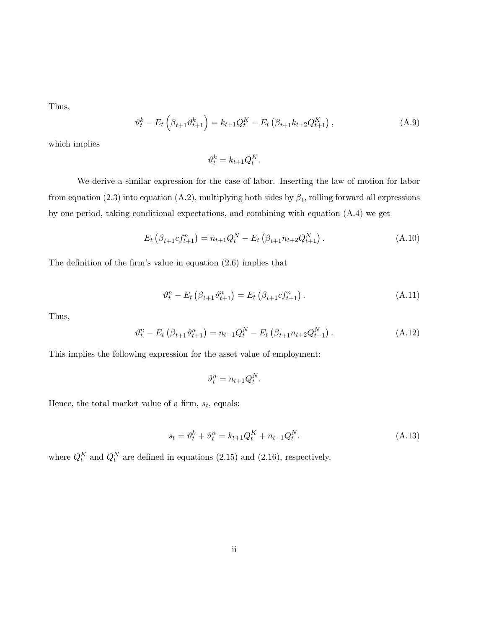Thus,

$$
\vartheta_t^k - E_t \left( \beta_{t+1} \vartheta_{t+1}^k \right) = k_{t+1} Q_t^K - E_t \left( \beta_{t+1} k_{t+2} Q_{t+1}^K \right), \tag{A.9}
$$

which implies

$$
\vartheta_t^k = k_{t+1} Q_t^K.
$$

We derive a similar expression for the case of labor. Inserting the law of motion for labor from equation (2.3) into equation (A.2), multiplying both sides by  $\beta_t$ , rolling forward all expressions by one period, taking conditional expectations, and combining with equation (A.4) we get

$$
E_t\left(\beta_{t+1}cf_{t+1}^n\right) = n_{t+1}Q_t^N - E_t\left(\beta_{t+1}n_{t+2}Q_{t+1}^N\right). \tag{A.10}
$$

The definition of the firm's value in equation (2.6) implies that

$$
\vartheta_t^n - E_t \left( \beta_{t+1} \vartheta_{t+1}^n \right) = E_t \left( \beta_{t+1} c f_{t+1}^n \right). \tag{A.11}
$$

Thus,

$$
\vartheta_t^n - E_t \left( \beta_{t+1} \vartheta_{t+1}^n \right) = n_{t+1} Q_t^N - E_t \left( \beta_{t+1} n_{t+2} Q_{t+1}^N \right). \tag{A.12}
$$

This implies the following expression for the asset value of employment:

$$
\vartheta_t^n = n_{t+1} Q_t^N.
$$

Hence, the total market value of a firm,  $s_t$ , equals:

$$
s_t = \vartheta_t^k + \vartheta_t^n = k_{t+1} Q_t^K + n_{t+1} Q_t^N.
$$
\n(A.13)

where  $Q_t^K$  and  $Q_t^N$  are defined in equations (2.15) and (2.16), respectively.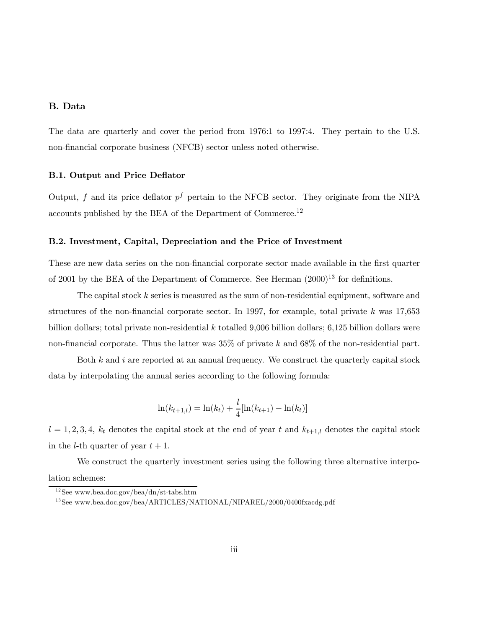#### B. Data

The data are quarterly and cover the period from 1976:1 to 1997:4. They pertain to the U.S. non-financial corporate business (NFCB) sector unless noted otherwise.

#### B.1. Output and Price Deflator

Output, f and its price deflator  $p^f$  pertain to the NFCB sector. They originate from the NIPA accounts published by the BEA of the Department of Commerce.<sup>12</sup>

#### B.2. Investment, Capital, Depreciation and the Price of Investment

These are new data series on the non-financial corporate sector made available in the first quarter of 2001 by the BEA of the Department of Commerce. See Herman  $(2000)^{13}$  for definitions.

The capital stock k series is measured as the sum of non-residential equipment, software and structures of the non-financial corporate sector. In 1997, for example, total private k was  $17,653$ billion dollars; total private non-residential k totalled 9,006 billion dollars; 6,125 billion dollars were non-financial corporate. Thus the latter was 35% of private k and 68% of the non-residential part.

Both  $k$  and  $i$  are reported at an annual frequency. We construct the quarterly capital stock data by interpolating the annual series according to the following formula:

$$
\ln(k_{t+1,l}) = \ln(k_t) + \frac{l}{4}[\ln(k_{t+1}) - \ln(k_t)]
$$

 $l = 1, 2, 3, 4, k_t$  denotes the capital stock at the end of year t and  $k_{t+1,l}$  denotes the capital stock in the *l*-th quarter of year  $t + 1$ .

We construct the quarterly investment series using the following three alternative interpo-

lation schemes:

 $12$ See www.bea.doc.gov/bea/dn/st-tabs.htm

<sup>&</sup>lt;sup>13</sup>See www.bea.doc.gov/bea/ARTICLES/NATIONAL/NIPAREL/2000/0400fxacdg.pdf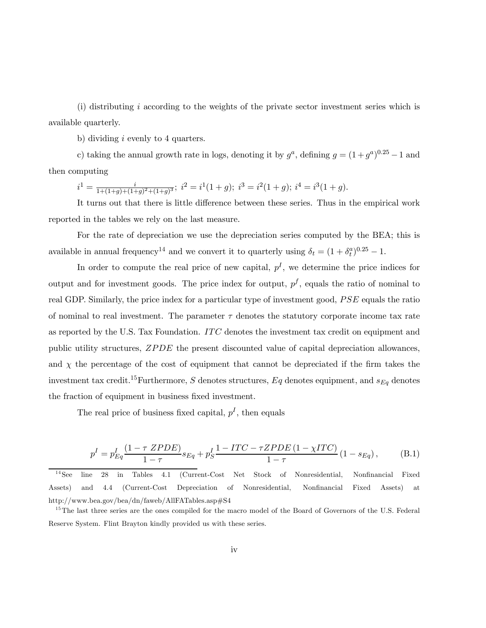(i) distributing i according to the weights of the private sector investment series which is available quarterly.

b) dividing i evenly to 4 quarters.

c) taking the annual growth rate in logs, denoting it by  $g^a$ , defining  $g = (1 + g^a)^{0.25} - 1$  and then computing

$$
i^1 = \frac{i}{1 + (1 + g) + (1 + g)^2 + (1 + g)^3}; i^2 = i^1(1 + g); i^3 = i^2(1 + g); i^4 = i^3(1 + g).
$$

It turns out that there is little difference between these series. Thus in the empirical work reported in the tables we rely on the last measure.

For the rate of depreciation we use the depreciation series computed by the BEA; this is available in annual frequency<sup>14</sup> and we convert it to quarterly using  $\delta_t = (1 + \delta_t^a)^{0.25} - 1$ .

In order to compute the real price of new capital,  $p<sup>I</sup>$ , we determine the price indices for output and for investment goods. The price index for output,  $p<sup>f</sup>$ , equals the ratio of nominal to real GDP. Similarly, the price index for a particular type of investment good,  $PSE$  equals the ratio of nominal to real investment. The parameter  $\tau$  denotes the statutory corporate income tax rate as reported by the U.S. Tax Foundation. ITC denotes the investment tax credit on equipment and public utility structures, ZPDE the present discounted value of capital depreciation allowances, and  $\chi$  the percentage of the cost of equipment that cannot be depreciated if the firm takes the investment tax credit.<sup>15</sup>Furthermore, S denotes structures, Eq denotes equipment, and  $s_{Eq}$  denotes the fraction of equipment in business fixed investment.

The real price of business fixed capital,  $p<sup>I</sup>$ , then equals

$$
p^{I} = p_{Eq}^{I} \frac{(1 - \tau \, ZPDE)}{1 - \tau} s_{Eq} + p_{S}^{I} \frac{1 - ITC - \tau ZPDE \, (1 - \chi ITC)}{1 - \tau} \, (1 - s_{Eq}), \tag{B.1}
$$

<sup>14</sup> See line 28 in Tables 4.1 (Current-Cost Net Stock of Nonresidential, Nonfinancial Fixed Assets) and 4.4 (Current-Cost Depreciation of Nonresidential, Nonfinancial Fixed Assets) at http://www.bea.gov/bea/dn/faweb/AllFATables.asp#S4

<sup>&</sup>lt;sup>15</sup>The last three series are the ones compiled for the macro model of the Board of Governors of the U.S. Federal Reserve System. Flint Brayton kindly provided us with these series.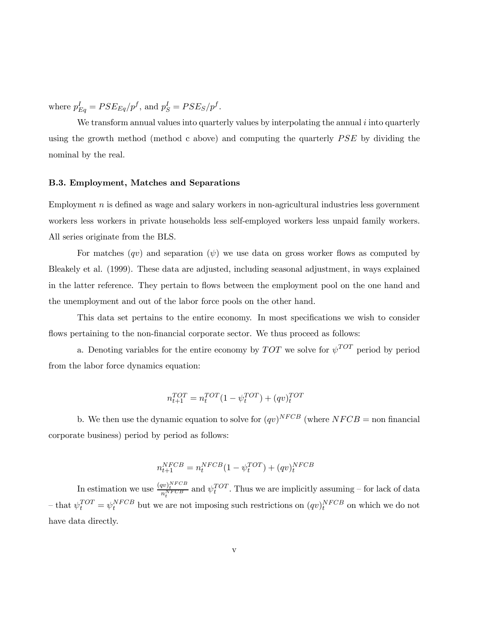where  $p_{Eq}^I = PSE_{Eq}/p^f$ , and  $p_S^I = PSE_S/p^f$ .

We transform annual values into quarterly values by interpolating the annual  $i$  into quarterly using the growth method (method c above) and computing the quarterly PSE by dividing the nominal by the real.

#### B.3. Employment, Matches and Separations

Employment  $n$  is defined as wage and salary workers in non-agricultural industries less government workers less workers in private households less self-employed workers less unpaid family workers. All series originate from the BLS.

For matches  $(qv)$  and separation  $(\psi)$  we use data on gross worker flows as computed by Bleakely et al. (1999). These data are adjusted, including seasonal adjustment, in ways explained in the latter reference. They pertain to flows between the employment pool on the one hand and the unemployment and out of the labor force pools on the other hand.

This data set pertains to the entire economy. In most specifications we wish to consider flows pertaining to the non-financial corporate sector. We thus proceed as follows:

a. Denoting variables for the entire economy by  $TOT$  we solve for  $\psi^{TOT}$  period by period from the labor force dynamics equation:

$$
n_{t+1}^{TOT} = n_t^{TOT} (1 - \psi_t^{TOT}) + (qv)_t^{TOT}
$$

b. We then use the dynamic equation to solve for  $(qv)^{NFCB}$  (where  $NFCB =$  non financial corporate business) period by period as follows:

$$
n_{t+1}^{NFCB} = n_t^{NFCB} (1 - \psi_t^{TOT}) + (qv)_t^{NFCB}
$$

In estimation we use  $\frac{(qv)^{NFCB}}{n_t^{NFCB}}$  and  $\psi_t^{TOT}$ . Thus we are implicitly assuming – for lack of data - that  $\psi_t^{TOT} = \psi_t^{NFCB}$  but we are not imposing such restrictions on  $(qv)_t^{NFCB}$  on which we do not have data directly.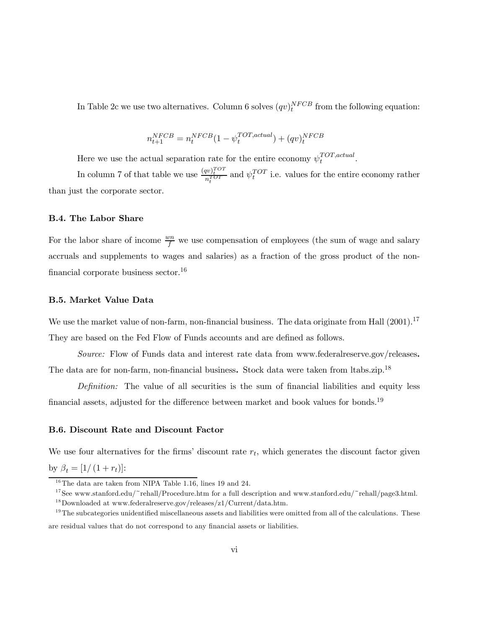In Table 2c we use two alternatives. Column 6 solves  $(qv)^{NFCB}_{t}$  from the following equation:

$$
n_{t+1}^{NFCB} = n_t^{NFCB} (1-\psi_t^{TOT,actual}) + (qv)_t^{NFCB}
$$

Here we use the actual separation rate for the entire economy  $\psi_t^{TOT,actual}$ .

In column 7 of that table we use  $\frac{(qv)_t^{TOT}}{n_t^{TOT}}$  and  $\psi_t^{TOT}$  i.e. values for the entire economy rather than just the corporate sector.

#### B.4. The Labor Share

For the labor share of income  $\frac{wn}{f}$  we use compensation of employees (the sum of wage and salary accruals and supplements to wages and salaries) as a fraction of the gross product of the nonfinancial corporate business sector.16

#### B.5. Market Value Data

We use the market value of non-farm, non-financial business. The data originate from Hall (2001).<sup>17</sup> They are based on the Fed Flow of Funds accounts and are defined as follows.

Source: Flow of Funds data and interest rate data from www.federalreserve.gov/releases. The data are for non-farm, non-financial business. Stock data were taken from ltabs.zip.<sup>18</sup>

Definition: The value of all securities is the sum of financial liabilities and equity less financial assets, adjusted for the difference between market and book values for bonds.<sup>19</sup>

#### B.6. Discount Rate and Discount Factor

We use four alternatives for the firms' discount rate  $r_t$ , which generates the discount factor given by  $\beta_t = [1/(1 + r_t)]$ :

<sup>&</sup>lt;sup>16</sup>The data are taken from NIPA Table 1.16, lines 19 and 24.

<sup>&</sup>lt;sup>17</sup>See www.stanford.edu/~rehall/Procedure.htm for a full description and www.stanford.edu/~rehall/page3.html. <sup>18</sup>Downloaded at www.federalreserve.gov/releases/z1/Current/data.htm.

 $19$ The subcategories unidentified miscellaneous assets and liabilities were omitted from all of the calculations. These are residual values that do not correspond to any financial assets or liabilities.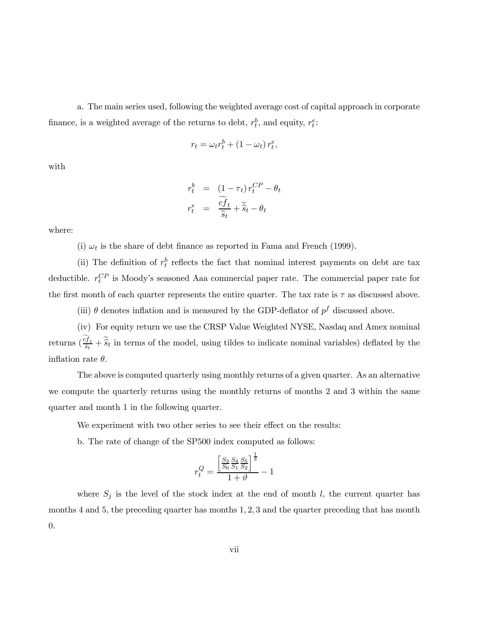a. The main series used, following the weighted average cost of capital approach in corporate finance, is a weighted average of the returns to debt,  $r_t^b$ , and equity,  $r_t^e$ :

$$
r_t = \omega_t r_t^b + (1 - \omega_t) r_t^e,
$$

with

$$
r_t^b = (1 - \tau_t) r_t^{CP} - \theta_t
$$
  

$$
r_t^e = \frac{\widetilde{cf}_t}{\widetilde{s}_t} + \widetilde{s}_t - \theta_t
$$

where:

(i)  $\omega_t$  is the share of debt finance as reported in Fama and French (1999).

(ii) The definition of  $r_t^b$  reflects the fact that nominal interest payments on debt are tax deductible.  $r_t^{CP}$  is Moody's seasoned Aaa commercial paper rate. The commercial paper rate for the first month of each quarter represents the entire quarter. The tax rate is  $\tau$  as discussed above.

(iii)  $\theta$  denotes inflation and is measured by the GDP-deflator of  $p^f$  discussed above.

(iv) For equity return we use the CRSP Value Weighted NYSE, Nasdaq and Amex nominal returns  $(\frac{cf_t}{\tilde{s}_t} + \tilde{\hat{s}}_t)$  in terms of the model, using tildes to indicate nominal variables) deflated by the inflation rate  $\theta$ .

The above is computed quarterly using monthly returns of a given quarter. As an alternative we compute the quarterly returns using the monthly returns of months 2 and 3 within the same quarter and month 1 in the following quarter.

We experiment with two other series to see their effect on the results:

b. The rate of change of the SP500 index computed as follows:

$$
r_t^Q = \frac{\left[\frac{S_3}{S_0} \frac{S_4}{S_1} \frac{S_5}{S_2}\right]^{\frac{1}{3}}}{1+\vartheta} - 1
$$

where  $S_j$  is the level of the stock index at the end of month l, the current quarter has months 4 and 5, the preceding quarter has months 1, 2, 3 and the quarter preceding that has month 0.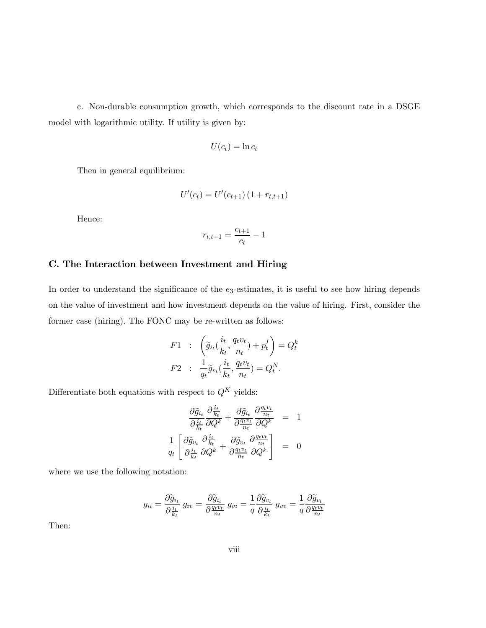c. Non-durable consumption growth, which corresponds to the discount rate in a DSGE model with logarithmic utility. If utility is given by:

$$
U(c_t) = \ln c_t
$$

Then in general equilibrium:

$$
U'(c_t) = U'(c_{t+1}) (1 + r_{t,t+1})
$$

Hence:

$$
r_{t,t+1} = \frac{c_{t+1}}{c_t} - 1
$$

#### C. The Interaction between Investment and Hiring

In order to understand the significance of the  $e_3$ -estimates, it is useful to see how hiring depends on the value of investment and how investment depends on the value of hiring. First, consider the former case (hiring). The FONC may be re-written as follows:

$$
F1 : \left(\tilde{g}_{i_t}(\frac{i_t}{k_t}, \frac{q_t v_t}{n_t}) + p_t^I\right) = Q_t^k
$$

$$
F2 : \frac{1}{q_t}\tilde{g}_{v_t}(\frac{i_t}{k_t}, \frac{q_t v_t}{n_t}) = Q_t^N.
$$

Differentiate both equations with respect to  $Q^K$  yields:

$$
\frac{\partial \widetilde{g}_{i_t}}{\partial \frac{i_t}{k_t}} \frac{\partial \frac{i_t}{k_t}}{\partial Q^k} + \frac{\partial \widetilde{g}_{i_t}}{\partial \frac{q_t v_t}{n_t}} \frac{\partial \frac{q_t v_t}{n_t}}{\partial Q^k} = 1
$$
\n
$$
\frac{1}{q_t} \left[ \frac{\partial \widetilde{g}_{v_t}}{\partial \frac{i_t}{k_t}} \frac{\partial \frac{i_t}{k_t}}{\partial Q^k} + \frac{\partial \widetilde{g}_{v_t}}{\partial \frac{q_t v_t}{n_t}} \frac{\partial \frac{q_t v_t}{n_t}}{\partial Q^k} \right] = 0
$$

where we use the following notation:

$$
g_{ii} = \frac{\partial \widetilde{g}_{i_t}}{\partial \frac{i_t}{k_t}} g_{iv} = \frac{\partial \widetilde{g}_{i_t}}{\partial \frac{q_t v_t}{n_t}} g_{vi} = \frac{1}{q} \frac{\partial \widetilde{g}_{v_t}}{\partial \frac{i_t}{k_t}} g_{vv} = \frac{1}{q} \frac{\partial \widetilde{g}_{v_t}}{\partial \frac{q_t v_t}{n_t}}
$$

Then: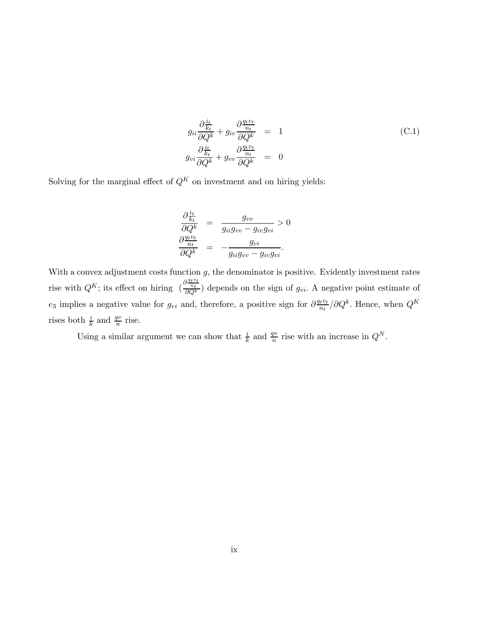$$
g_{ii} \frac{\partial \frac{i_t}{k_t}}{\partial Q^k} + g_{iv} \frac{\partial \frac{q_t v_t}{n_t}}{\partial Q^k} = 1
$$
  
\n
$$
g_{vi} \frac{\partial \frac{i_t}{k_t}}{\partial Q^k} + g_{vv} \frac{\partial \frac{q_t v_t}{n_t}}{\partial Q^k} = 0
$$
  
\n(C.1)

Solving for the marginal effect of  $Q^{K}$  on investment and on hiring yields:

$$
\frac{\partial \frac{i_t}{k_t}}{\partial Q^k} = \frac{g_{vv}}{g_{ii}g_{vv} - g_{iv}g_{vi}} > 0
$$

$$
\frac{\partial \frac{q_t v_t}{n_t}}{\partial Q^k} = -\frac{g_{vi}}{g_{ii}g_{vv} - g_{iv}g_{vi}}.
$$

With a convex adjustment costs function  $g$ , the denominator is positive. Evidently investment rates rise with  $Q^K$ ; its effect on hiring  $\left(\frac{\partial \frac{q_t v_t}{n_t}}{\partial Q^k}\right)$  depends on the sign of  $g_{vi}$ . A negative point estimate of e<sub>3</sub> implies a negative value for  $g_{vi}$  and, therefore, a positive sign for  $\partial \frac{q_iv_i}{n_t}/\partial Q^k$ . Hence, when  $Q^K$ rises both  $\frac{i}{k}$  and  $\frac{qv}{n}$  rise.

Using a similar argument we can show that  $\frac{i}{k}$  and  $\frac{qv}{n}$  rise with an increase in  $Q^N$ .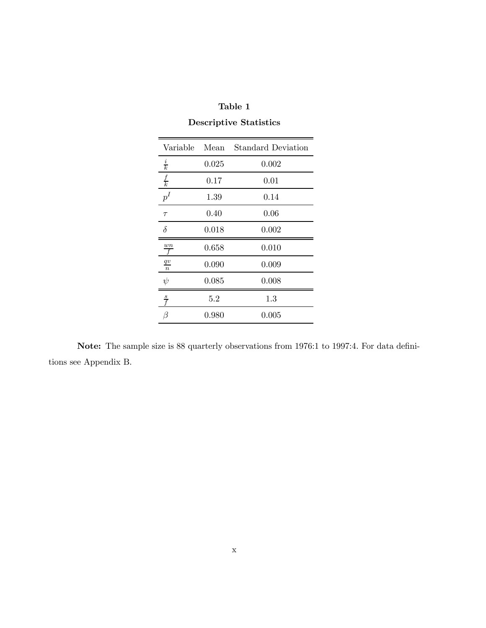| Variable                | Mean     | <b>Standard Deviation</b> |
|-------------------------|----------|---------------------------|
| $\frac{i}{k}$           | 0.025    | 0.002                     |
| $\frac{f}{k}$           | $0.17\,$ | 0.01                      |
| $p^{I}$                 | 1.39     | 0.14                      |
| $\tau$                  | 0.40     | 0.06                      |
| $\delta$                | 0.018    | 0.002                     |
| $\frac{wn}{f}$          | 0.658    | 0.010                     |
| q v<br>$\boldsymbol{n}$ | 0.090    | 0.009                     |
| $\psi$                  | 0.085    | 0.008                     |
| $rac{s}{f}$             | 5.2      | $1.3\,$                   |
| 17                      | 0.980    | 0.005                     |

## Table 1 Descriptive Statistics

Note: The sample size is 88 quarterly observations from 1976:1 to 1997:4. For data definitions see Appendix B.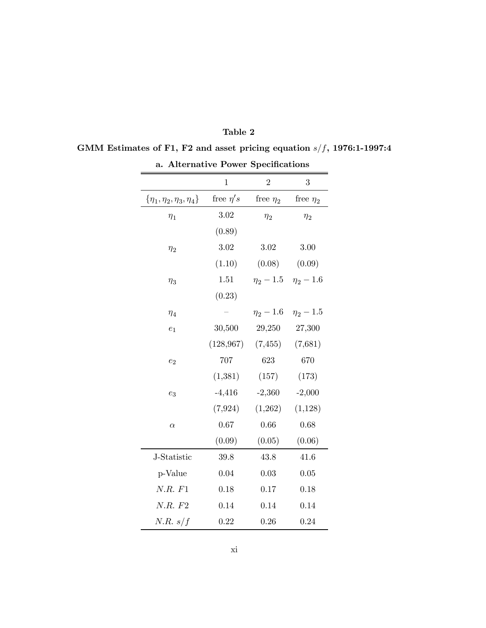| a. Alternative Power Specifications  |               |                |                               |  |  |  |  |
|--------------------------------------|---------------|----------------|-------------------------------|--|--|--|--|
|                                      | $\mathbf{1}$  | $\overline{2}$ | 3                             |  |  |  |  |
| $\{\eta_1, \eta_2, \eta_3, \eta_4\}$ | free $\eta's$ | free $\eta_2$  | free $\eta_2$                 |  |  |  |  |
| $\eta_1$                             | 3.02          | $\eta_2$       | $\eta_2$                      |  |  |  |  |
|                                      | (0.89)        |                |                               |  |  |  |  |
| $\eta_2$                             | $3.02\,$      | $3.02\,$       | 3.00                          |  |  |  |  |
|                                      | (1.10)        | (0.08)         | (0.09)                        |  |  |  |  |
| $\eta_3$                             | 1.51          |                | $\eta_2 - 1.5$ $\eta_2 - 1.6$ |  |  |  |  |
|                                      | (0.23)        |                |                               |  |  |  |  |
| $\eta_4$                             |               | $\eta_2-1.6$   | $\eta_2 - 1.5$                |  |  |  |  |
| $e_1$                                | 30,500        | 29,250         | 27,300                        |  |  |  |  |
|                                      | (128, 967)    | (7, 455)       | (7,681)                       |  |  |  |  |
| $e_2$                                | 707           | 623            | 670                           |  |  |  |  |
|                                      | (1, 381)      | (157)          | (173)                         |  |  |  |  |
| $e_3$                                | $-4,416$      | $-2,360$       | $-2,000$                      |  |  |  |  |
|                                      | (7, 924)      | (1,262)        | (1,128)                       |  |  |  |  |
| $\alpha$                             | 0.67          | 0.66           | 0.68                          |  |  |  |  |
|                                      | (0.09)        | (0.05)         | (0.06)                        |  |  |  |  |
| J-Statistic                          | 39.8          | 43.8           | 41.6                          |  |  |  |  |
| p-Value                              | 0.04          | 0.03           | 0.05                          |  |  |  |  |
| N.R. F1                              | 0.18          | 0.17           | 0.18                          |  |  |  |  |
| N.R. F2                              | 0.14          | 0.14           | 0.14                          |  |  |  |  |
| N.R. s/f                             | 0.22          | 0.26           | 0.24                          |  |  |  |  |

| anie |  |
|------|--|
|------|--|

## GMM Estimates of F1, F2 and asset pricing equation  $s/f$ , 1976:1-1997:4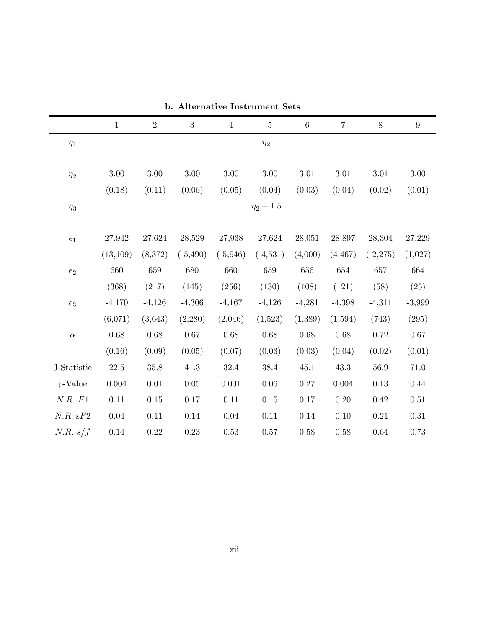|                  | $\mathbf{1}$ | $\overline{2}$ | 3        | $\overline{4}$ | $\rm 5$        | $\,6\,$  | $\overline{7}$ | $8\,$    | $9\phantom{.}$ |  |  |
|------------------|--------------|----------------|----------|----------------|----------------|----------|----------------|----------|----------------|--|--|
| $\eta_1$         |              |                |          |                | $\eta_2$       |          |                |          |                |  |  |
|                  | $3.00\,$     | $3.00\,$       | $3.00\,$ | 3.00           | $3.00\,$       | $3.01\,$ | 3.01           | 3.01     | $3.00\,$       |  |  |
| $\eta_2$         |              |                |          |                |                |          |                |          |                |  |  |
|                  | (0.18)       | (0.11)         | (0.06)   | (0.05)         | (0.04)         | (0.03)   | (0.04)         | (0.02)   | (0.01)         |  |  |
| $\eta_3$         |              |                |          |                | $\eta_2 - 1.5$ |          |                |          |                |  |  |
|                  |              |                |          |                |                |          |                |          |                |  |  |
| $\mathfrak{e}_1$ | 27,942       | 27,624         | 28,529   | 27,938         | 27,624         | 28,051   | 28,897         | 28,304   | 27,229         |  |  |
|                  | (13, 109)    | (8,372)        | (5,490)  | (5,946)        | (4,531)        | (4,000)  | (4, 467)       | (2,275)  | (1,027)        |  |  |
| $e_2$            | 660          | 659            | 680      | 660            | 659            | 656      | 654            | 657      | 664            |  |  |
|                  | (368)        | (217)          | (145)    | (256)          | (130)          | (108)    | (121)          | (58)     | (25)           |  |  |
| $e_3$            | $-4,170$     | $-4,126$       | $-4,306$ | $-4,167$       | $-4,126$       | $-4,281$ | $-4,398$       | $-4,311$ | $-3,999$       |  |  |
|                  | (6,071)      | (3, 643)       | (2,280)  | (2,046)        | (1,523)        | (1,389)  | (1,594)        | (743)    | (295)          |  |  |
| $\alpha$         | $0.68\,$     | 0.68           | $0.67\,$ | $0.68\,$       | $0.68\,$       | $0.68\,$ | 0.68           | 0.72     | $0.67\,$       |  |  |
|                  | (0.16)       | (0.09)         | (0.05)   | (0.07)         | (0.03)         | (0.03)   | (0.04)         | (0.02)   | (0.01)         |  |  |
| J-Statistic      | 22.5         | 35.8           | 41.3     | 32.4           | 38.4           | 45.1     | 43.3           | 56.9     | 71.0           |  |  |
| p-Value          | 0.004        | $0.01\,$       | $0.05\,$ | 0.001          | 0.06           | $0.27\,$ | 0.004          | 0.13     | 0.44           |  |  |
| N.R. F1          | $0.11\,$     | 0.15           | 0.17     | $0.11\,$       | $0.15\,$       | $0.17\,$ | $0.20\,$       | 0.42     | $0.51\,$       |  |  |
| N.R. sF2         | $0.04\,$     | $0.11\,$       | $0.14\,$ | $0.04\,$       | $0.11\,$       | $0.14\,$ | 0.10           | 0.21     | $0.31\,$       |  |  |
| N.R. s/f         | $0.14\,$     | $0.22\,$       | $0.23\,$ | $0.53\,$       | $0.57\,$       | $0.58\,$ | $0.58\,$       | $0.64\,$ | 0.73           |  |  |

b. Alternative Instrument Sets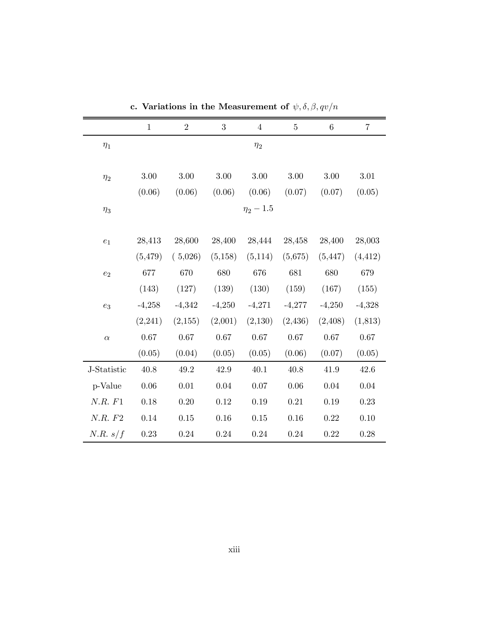|                    | $\mathbf{1}$ | $\overline{2}$ | $\boldsymbol{3}$ | $\sqrt{4}$     | $\bf 5$  | $\,6$    | $\,7$    |
|--------------------|--------------|----------------|------------------|----------------|----------|----------|----------|
| $\eta_1$           |              |                |                  | $\eta_2$       |          |          |          |
| $\eta_2$           | $3.00\,$     | $3.00\,$       | $3.00\,$         | 3.00           | $3.00\,$ | 3.00     | 3.01     |
|                    | (0.06)       | (0.06)         | (0.06)           | (0.06)         | (0.07)   | (0.07)   | (0.05)   |
| $\eta_3$           |              |                |                  | $\eta_2 - 1.5$ |          |          |          |
| $\boldsymbol{e}_1$ | 28,413       | 28,600         | 28,400           | 28,444         | 28,458   | 28,400   | 28,003   |
|                    | (5, 479)     | (5,026)        | (5,158)          | (5,114)        | (5,675)  | (5, 447) | (4, 412) |
| $e_2$              | 677          | 670            | 680              | 676            | 681      | 680      | 679      |
|                    | (143)        | (127)          | (139)            | (130)          | (159)    | (167)    | (155)    |
| $e_3$              | $-4,258$     | $-4,342$       | $-4,250$         | $-4,271$       | $-4,277$ | $-4,250$ | $-4,328$ |
|                    | (2,241)      | (2,155)        | (2,001)          | (2,130)        | (2,436)  | (2,408)  | (1,813)  |
| $\alpha$           | 0.67         | 0.67           | 0.67             | 0.67           | 0.67     | 0.67     | 0.67     |
|                    | (0.05)       | (0.04)         | (0.05)           | (0.05)         | (0.06)   | (0.07)   | (0.05)   |
| J-Statistic        | 40.8         | 49.2           | 42.9             | 40.1           | 40.8     | 41.9     | 42.6     |
| p-Value            | $0.06\,$     | $0.01\,$       | $0.04\,$         | $0.07\,$       | $0.06\,$ | $0.04\,$ | $0.04\,$ |
| N.R. F1            | $0.18\,$     | 0.20           | 0.12             | 0.19           | 0.21     | 0.19     | 0.23     |
| N.R. F2            | 0.14         | $0.15\,$       | 0.16             | 0.15           | 0.16     | 0.22     | 0.10     |
| N.R. s/f           | $0.23\,$     | $0.24\,$       | 0.24             | 0.24           | 0.24     | 0.22     | 0.28     |

c. Variations in the Measurement of  $\psi, \delta, \beta, qv/n$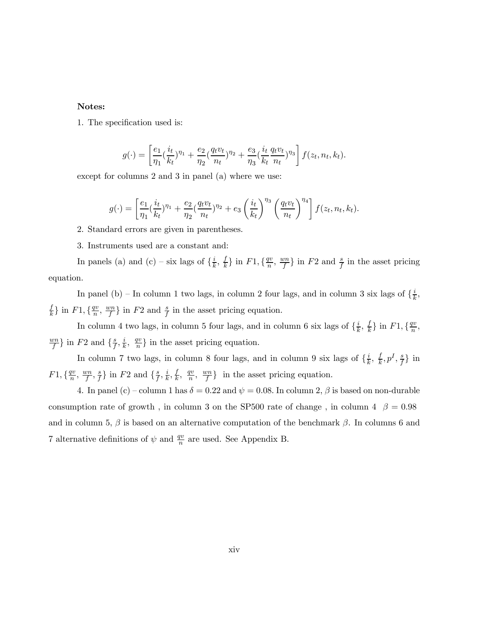#### Notes:

1. The specification used is:

$$
g(\cdot) = \left[\frac{e_1}{\eta_1}(\frac{i_t}{k_t})^{\eta_1} + \frac{e_2}{\eta_2}(\frac{q_t v_t}{n_t})^{\eta_2} + \frac{e_3}{\eta_3}(\frac{i_t}{k_t} \frac{q_t v_t}{n_t})^{\eta_3}\right] f(z_t, n_t, k_t).
$$

except for columns 2 and 3 in panel (a) where we use:

$$
g(\cdot) = \left[\frac{e_1}{\eta_1}(\frac{i_t}{k_t})^{\eta_1} + \frac{e_2}{\eta_2}(\frac{q_t v_t}{n_t})^{\eta_2} + e_3 \left(\frac{i_t}{k_t}\right)^{\eta_3} \left(\frac{q_t v_t}{n_t}\right)^{\eta_4}\right] f(z_t, n_t, k_t).
$$

- 2. Standard errors are given in parentheses.
- 3. Instruments used are a constant and:

In panels (a) and (c) – six lags of  $\{\frac{i}{k}, \frac{f}{k}\}\$ in  $F1, \{\frac{qv}{n}, \frac{wn}{f}\}\$ in  $F2$  and  $\frac{s}{f}$  in the asset pricing equation.

In panel (b) – In column 1 two lags, in column 2 four lags, and in column 3 six lags of  $\{\frac{i}{k},\}$  $\frac{f}{k}$  in  $F1, \{\frac{qv}{n}, \frac{wn}{f}\}\$  in  $F2$  and  $\frac{s}{f}$  in the asset pricing equation.

In column 4 two lags, in column 5 four lags, and in column 6 six lags of  $\{\frac{i}{k}, \frac{f}{k}\}\$ in  $F1, \{\frac{qv}{n},$  $\frac{wn}{f}$  in F2 and  $\{\frac{s}{f}, \frac{i}{k}, \frac{qv}{n}\}$  in the asset pricing equation.

In column 7 two lags, in column 8 four lags, and in column 9 six lags of  $\{\frac{i}{k}, \frac{f}{k}, p^I, \frac{s}{f}\}\$  in  $F1, \{\frac{qv}{n}, \frac{sn}{f}, \frac{s}{f}\}\$ in  $F2$  and  $\{\frac{s}{f}, \frac{i}{k}, \frac{f}{k}, \frac{qv}{n}, \frac{wn}{f}\}\$ in the asset pricing equation.

4. In panel (c) – column 1 has  $\delta = 0.22$  and  $\psi = 0.08$ . In column 2,  $\beta$  is based on non-durable consumption rate of growth, in column 3 on the SP500 rate of change, in column 4  $\beta = 0.98$ and in column 5,  $\beta$  is based on an alternative computation of the benchmark  $\beta$ . In columns 6 and 7 alternative definitions of  $\psi$  and  $\frac{qv}{n}$  are used. See Appendix B.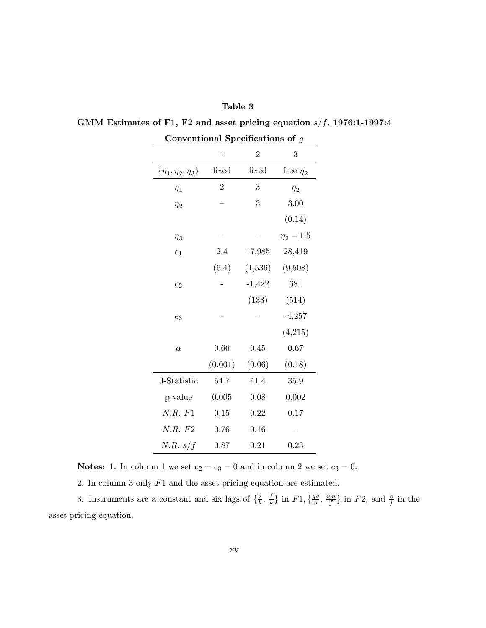| Table 3                                                                  |  |
|--------------------------------------------------------------------------|--|
| GMM Estimates of F1, F2 and asset pricing equation $s/f$ , 1976:1-1997:4 |  |

| <i>r</i> icionai<br>ppccmcati<br>דה מזוי<br>У |                |                |                |  |  |  |  |
|-----------------------------------------------|----------------|----------------|----------------|--|--|--|--|
|                                               | $\mathbf 1$    | $\overline{2}$ | 3              |  |  |  |  |
| $\{\eta_1, \eta_2, \eta_3\}$                  | fixed          | fixed          | free $\eta_2$  |  |  |  |  |
| $\eta_1$                                      | $\overline{2}$ | 3              | $\eta_2$       |  |  |  |  |
| $\eta_2$                                      |                | 3              | 3.00           |  |  |  |  |
|                                               |                |                | (0.14)         |  |  |  |  |
| $\eta_3$                                      |                |                | $\eta_2 - 1.5$ |  |  |  |  |
| $e_1$                                         | 2.4            | 17,985         | 28,419         |  |  |  |  |
|                                               | (6.4)          | (1,536)        | (9,508)        |  |  |  |  |
| $e_2$                                         |                | $-1,422$       | 681            |  |  |  |  |
|                                               |                | (133)          | (514)          |  |  |  |  |
| $e_3$                                         |                |                | $-4,257$       |  |  |  |  |
|                                               |                |                | (4,215)        |  |  |  |  |
| $\alpha$                                      | 0.66           | 0.45           | 0.67           |  |  |  |  |
|                                               | (0.001)        | (0.06)         | (0.18)         |  |  |  |  |
| J-Statistic                                   | 54.7           | 41.4           | 35.9           |  |  |  |  |
| p-value                                       | 0.005          | 0.08           | 0.002          |  |  |  |  |
| N.R. F1                                       | 0.15           | 0.22           | 0.17           |  |  |  |  |
| N.R. F2                                       | 0.76           | 0.16           |                |  |  |  |  |
| N.R. s/f                                      | 0.87           | 0.21           | 0.23           |  |  |  |  |

Conventional Specifications of g

**Notes:** 1. In column 1 we set  $e_2 = e_3 = 0$  and in column 2 we set  $e_3 = 0$ .

2. In column 3 only F1 and the asset pricing equation are estimated.

3. Instruments are a constant and six lags of  $\{\frac{i}{k}, \frac{f}{k}\}\$ in  $F1, \{\frac{qv}{n}, \frac{wn}{f}\}\$ in  $F2$ , and  $\frac{s}{f}$  in the asset pricing equation.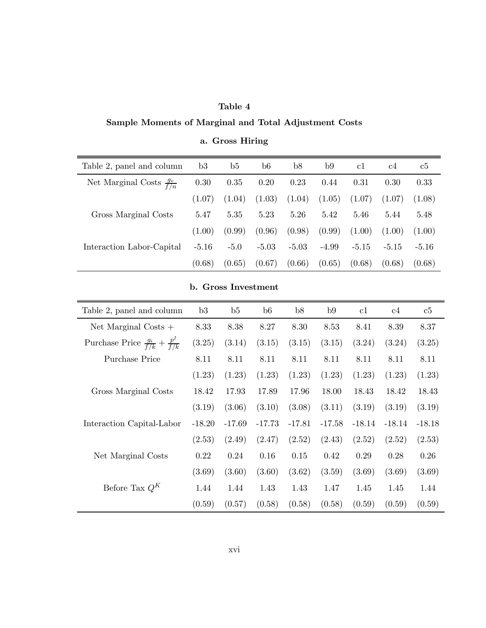#### Table 4

## Sample Moments of Marginal and Total Adjustment Costs

| Table 2, panel and column            | b3      | b5     | b6      | b8      | b9      | c1      | c4      | $_{\rm c5}$ |
|--------------------------------------|---------|--------|---------|---------|---------|---------|---------|-------------|
| Net Marginal Costs $\frac{g_v}{f/n}$ | 0.30    | 0.35   | 0.20    | 0.23    | 0.44    | 0.31    | 0.30    | 0.33        |
|                                      | (1.07)  | (1.04) | (1.03)  | (1.04)  | (1.05)  | (1.07)  | (1.07)  | (1.08)      |
| Gross Marginal Costs                 | 5.47    | 5.35   | 5.23    | 5.26    | 5.42    | 5.46    | 5.44    | 5.48        |
|                                      | (1.00)  | (0.99) | (0.96)  | (0.98)  | (0.99)  | (1.00)  | (1.00)  | (1.00)      |
| Interaction Labor-Capital            | $-5.16$ | $-5.0$ | $-5.03$ | $-5.03$ | $-4.99$ | $-5.15$ | $-5.15$ | $-5.16$     |
|                                      | (0.68)  | (0.65) | (0.67)  | (0.66)  | (0.65)  | (0.68)  | (0.68)  | (0.68)      |

## a. Gross Hiring

### b. Gross Investment

| Table 2, panel and column                          | b3       | b5       | b6       | b8       | b9       | c1       | c4       | c5       |
|----------------------------------------------------|----------|----------|----------|----------|----------|----------|----------|----------|
| Net Marginal Costs $+$                             | 8.33     | 8.38     | 8.27     | 8.30     | 8.53     | 8.41     | 8.39     | 8.37     |
| Purchase Price $\frac{g_i}{f/k} + \frac{p^l}{f/k}$ | (3.25)   | (3.14)   | (3.15)   | (3.15)   | (3.15)   | (3.24)   | (3.24)   | (3.25)   |
| Purchase Price                                     | 8.11     | 8.11     | 8.11     | 8.11     | 8.11     | 8.11     | 8.11     | 8.11     |
|                                                    | (1.23)   | (1.23)   | (1.23)   | (1.23)   | (1.23)   | (1.23)   | (1.23)   | (1.23)   |
| Gross Marginal Costs                               | 18.42    | 17.93    | 17.89    | 17.96    | 18.00    | 18.43    | 18.42    | 18.43    |
|                                                    | (3.19)   | (3.06)   | (3.10)   | (3.08)   | (3.11)   | (3.19)   | (3.19)   | (3.19)   |
| Interaction Capital-Labor                          | $-18.20$ | $-17.69$ | $-17.73$ | $-17.81$ | $-17.58$ | $-18.14$ | $-18.14$ | $-18.18$ |
|                                                    | (2.53)   | (2.49)   | (2.47)   | (2.52)   | (2.43)   | (2.52)   | (2.52)   | (2.53)   |
| Net Marginal Costs                                 | 0.22     | 0.24     | 0.16     | 0.15     | 0.42     | 0.29     | 0.28     | 0.26     |
|                                                    | (3.69)   | (3.60)   | (3.60)   | (3.62)   | (3.59)   | (3.69)   | (3.69)   | (3.69)   |
| Before Tax $Q^K$                                   | 1.44     | 1.44     | 1.43     | 1.43     | 1.47     | 1.45     | 1.45     | 1.44     |
|                                                    | (0.59)   | (0.57)   | (0.58)   | (0.58)   | (0.58)   | (0.59)   | (0.59)   | (0.59)   |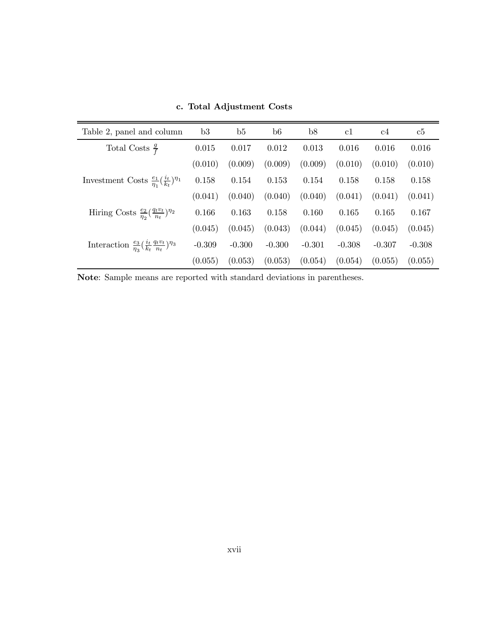| Table 2, panel and column                                                      | b3       | b5       | b6       | b8       | c1       | c4       | c5       |
|--------------------------------------------------------------------------------|----------|----------|----------|----------|----------|----------|----------|
| Total Costs $\frac{g}{f}$                                                      | 0.015    | 0.017    | 0.012    | 0.013    | 0.016    | 0.016    | 0.016    |
|                                                                                | (0.010)  | (0.009)  | (0.009)  | (0.009)  | (0.010)  | (0.010)  | (0.010)  |
| Investment Costs $\frac{e_1}{n_1}(\frac{i_t}{k_t})^{\eta_1}$                   | 0.158    | 0.154    | 0.153    | 0.154    | 0.158    | 0.158    | 0.158    |
|                                                                                | (0.041)  | (0.040)  | (0.040)  | (0.040)  | (0.041)  | (0.041)  | (0.041)  |
| Hiring Costs $\frac{e_2}{\eta_2}(\frac{q_t v_t}{n_t})^{\eta_2}$                | 0.166    | 0.163    | 0.158    | 0.160    | 0.165    | 0.165    | 0.167    |
|                                                                                | (0.045)  | (0.045)  | (0.043)  | (0.044)  | (0.045)  | (0.045)  | (0.045)  |
| Interaction $\frac{e_3}{\eta_3}(\frac{i_t}{k_t} \frac{q_t v_t}{n_t})^{\eta_3}$ | $-0.309$ | $-0.300$ | $-0.300$ | $-0.301$ | $-0.308$ | $-0.307$ | $-0.308$ |
|                                                                                | (0.055)  | (0.053)  | (0.053)  | (0.054)  | (0.054)  | (0.055)  | (0.055)  |

c. Total Adjustment Costs

Note: Sample means are reported with standard deviations in parentheses.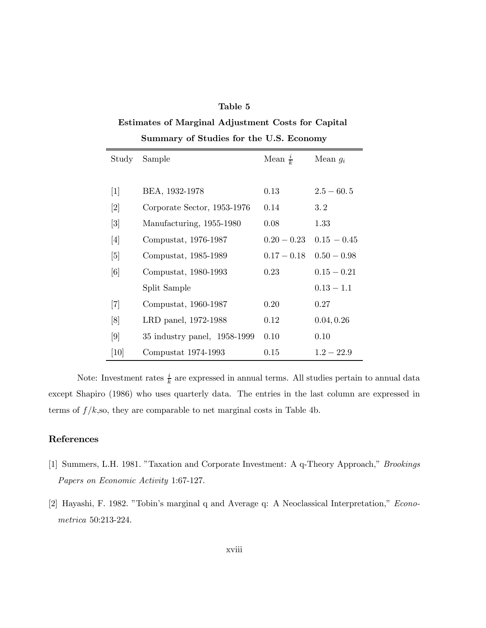#### Table 5

## Estimates of Marginal Adjustment Costs for Capital

| Study             | Sample                       | Mean $\frac{i}{k}$ | Mean $g_i$    |
|-------------------|------------------------------|--------------------|---------------|
|                   |                              |                    |               |
| $[1]$             | BEA, 1932-1978               | $0.13\,$           | $2.5 - 60.5$  |
| $\lceil 2 \rceil$ | Corporate Sector, 1953-1976  | 0.14               | 3.2           |
| $\lceil 3 \rceil$ | Manufacturing, 1955-1980     | 0.08               | 1.33          |
| [4]               | Compustat, 1976-1987         | $0.20 - 0.23$      | $0.15 - 0.45$ |
| $\lceil 5 \rceil$ | Compustat, 1985-1989         | $0.17 - 0.18$      | $0.50 - 0.98$ |
| [6]               | Compustat, 1980-1993         | 0.23               | $0.15 - 0.21$ |
|                   | Split Sample                 |                    | $0.13 - 1.1$  |
| $[7]$             | Compustat, 1960-1987         | 0.20               | 0.27          |
| [8]               | LRD panel, 1972-1988         | 0.12               | 0.04, 0.26    |
| [9]               | 35 industry panel, 1958-1999 | 0.10               | 0.10          |
| [10]              | Compustat $1974-1993$        | 0.15               | $1.2 - 22.9$  |

Summary of Studies for the U.S. Economy

Note: Investment rates  $\frac{i}{k}$  are expressed in annual terms. All studies pertain to annual data except Shapiro (1986) who uses quarterly data. The entries in the last column are expressed in terms of  $f/k$ , so, they are comparable to net marginal costs in Table 4b.

#### References

- [1] Summers, L.H. 1981. "Taxation and Corporate Investment: A q-Theory Approach," Brookings Papers on Economic Activity 1:67-127.
- [2] Hayashi, F. 1982. "Tobin's marginal q and Average q: A Neoclassical Interpretation," Econometrica 50:213-224.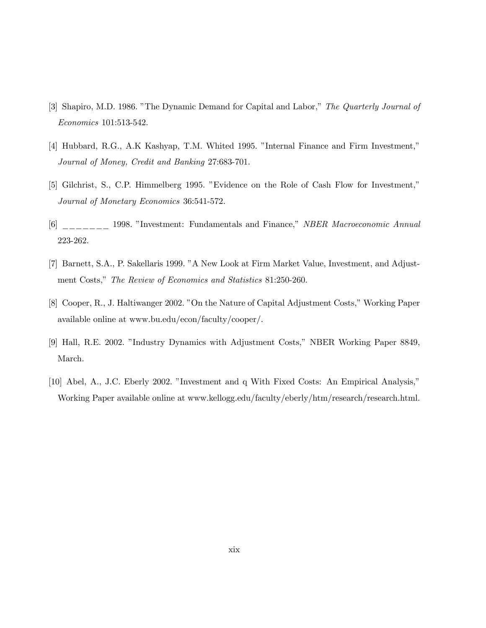- [3] Shapiro, M.D. 1986. "The Dynamic Demand for Capital and Labor," The Quarterly Journal of Economics 101:513-542.
- [4] Hubbard, R.G., A.K Kashyap, T.M. Whited 1995. "Internal Finance and Firm Investment," Journal of Money, Credit and Banking 27:683-701.
- [5] Gilchrist, S., C.P. Himmelberg 1995. "Evidence on the Role of Cash Flow for Investment," Journal of Monetary Economics 36:541-572.
- [6] \_\_\_\_\_\_ 1998. "Investment: Fundamentals and Finance," NBER Macroeconomic Annual 223-262.
- [7] Barnett, S.A., P. Sakellaris 1999. "A New Look at Firm Market Value, Investment, and Adjustment Costs," The Review of Economics and Statistics 81:250-260.
- [8] Cooper, R., J. Haltiwanger 2002. "On the Nature of Capital Adjustment Costs," Working Paper available online at www.bu.edu/econ/faculty/cooper/.
- [9] Hall, R.E. 2002. "Industry Dynamics with Adjustment Costs," NBER Working Paper 8849, March.
- [10] Abel, A., J.C. Eberly 2002. "Investment and q With Fixed Costs: An Empirical Analysis," Working Paper available online at www.kellogg.edu/faculty/eberly/htm/research/research.html.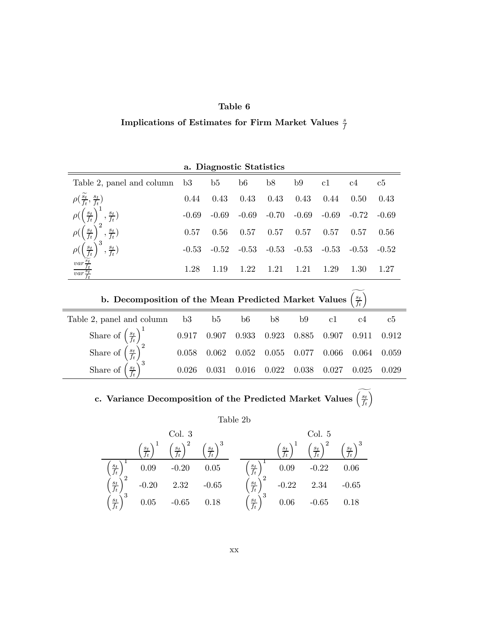#### Table 6

## Implications of Estimates for Firm Market Values  $\frac{s}{f}$

| a. Diagnostic Statistics                                      |         |         |         |         |         |         |         |         |  |  |
|---------------------------------------------------------------|---------|---------|---------|---------|---------|---------|---------|---------|--|--|
| Table 2, panel and column                                     | $-b3$   | b5      | b6      | b8      | b9      | c1      | c4      | c5      |  |  |
| $\rho(\frac{\widetilde{s_t}}{f_t}, \frac{s_t}{f_t})$          | 0.44    | 0.43    | 0.43    | 0.43    | 0.43    | 0.44    | 0.50    | 0.43    |  |  |
| $\frac{s_t}{f_t}$<br>$,\frac{s_t}{f_t})$                      | $-0.69$ | $-0.69$ | $-0.69$ | $-0.70$ | $-0.69$ | $-0.69$ | $-0.72$ | $-0.69$ |  |  |
| $\frac{s_t}{f_t}$<br>$\frac{s_t}{f_t}$                        | 0.57    | 0.56    | 0.57    | 0.57    | 0.57    | 0.57    | 0.57    | 0.56    |  |  |
| $\frac{s_t}{f_t}$<br>$,\frac{s_t}{f_t})$                      | $-0.53$ | $-0.52$ | $-0.53$ | $-0.53$ | $-0.53$ | $-0.53$ | $-0.53$ | $-0.52$ |  |  |
| $\frac{\sqrt{var\frac{s_t}{f_t}}}{\sqrt{var\frac{s_t}{f_t}}}$ | 1.28    | 1.19    | 1.22    | 1.21    | 1.21    | 1.29    | 1.30    | 1.27    |  |  |

| b. Decomposition of the Mean Predicted Market Values<br>$\left(\frac{s_t}{f_t}\right)$          |       |                |       |       |       |       |       |       |
|-------------------------------------------------------------------------------------------------|-------|----------------|-------|-------|-------|-------|-------|-------|
| Table 2, panel and column b3                                                                    |       | $\overline{b}$ | b6    | b8    | b9 -  | c1    | c4    | c5    |
| Share of $\left(\frac{s_t}{f_t}\right)^1$                                                       | 0.917 | 0.907          | 0.933 | 0.923 | 0.885 | 0.907 | 0.911 | 0.912 |
| Share of $\left(\begin{array}{c} 0 \\ 0 \end{array}\right)$<br>$\left(\frac{s_t}{f_t}\right)^2$ | 0.058 | 0.062          | 0.052 | 0.055 | 0.077 | 0.066 | 0.064 | 0.059 |
| Share of $\overline{\phantom{a}}$<br>$\left(\frac{s_t}{t}\right)^3$                             | 0.026 | 0.031          | 0.016 | 0.022 | 0.038 | 0.027 | 0.025 | 0.029 |

## c. Variance Decomposition of the Predicted Market Values  $\left(\frac{s_t}{f_t}\right)$

Table 2b

´

| Col. 3                           | Col. 5                           |                                  |                                  |                                  |                                  |                                  |         |         |        |                                  |        |         |        |
|----------------------------------|----------------------------------|----------------------------------|----------------------------------|----------------------------------|----------------------------------|----------------------------------|---------|---------|--------|----------------------------------|--------|---------|--------|
| $\left(\frac{s_t}{f_t}\right)^1$ | $\left(\frac{s_t}{f_t}\right)^2$ | $\left(\frac{s_t}{f_t}\right)^3$ | $\left(\frac{s_t}{f_t}\right)^1$ | $\left(\frac{s_t}{f_t}\right)^2$ | $\left(\frac{s_t}{f_t}\right)^2$ | $\left(\frac{s_t}{f_t}\right)^2$ | $0.09$  | $-0.20$ | $0.05$ | $\left(\frac{s_t}{f_t}\right)^2$ | $0.09$ | $-0.22$ | $0.06$ |
| $\left(\frac{s_t}{f_t}\right)^2$ | $-0.20$                          | $2.32$                           | $-0.65$                          | $\left(\frac{s_t}{f_t}\right)^2$ | $-0.22$                          | $2.34$                           | $-0.65$ |         |        |                                  |        |         |        |
| $\left(\frac{s_t}{f_t}\right)^3$ | $0.05$                           | $-0.65$                          | $0.18$                           | $\left(\frac{s_t}{f_t}\right)^3$ | $0.06$                           | $-0.65$                          | $0.18$  |         |        |                                  |        |         |        |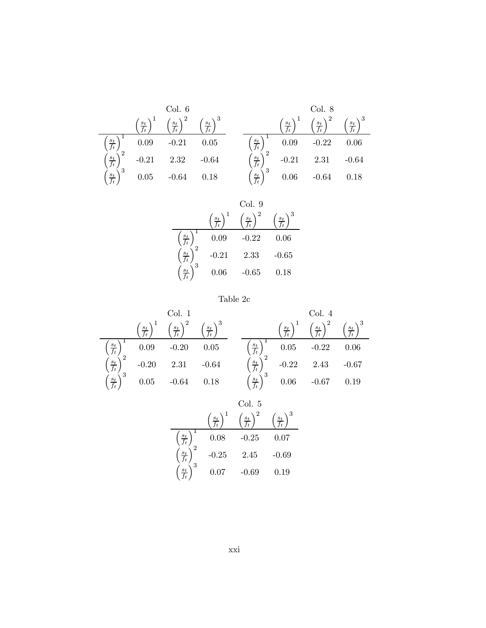|                        |                   | Col. 6            |                   |                                 |                   | Col. 8            |                   |
|------------------------|-------------------|-------------------|-------------------|---------------------------------|-------------------|-------------------|-------------------|
|                        | $\frac{s_t}{f_t}$ | $\frac{s_t}{f_t}$ | $\frac{s_t}{f_t}$ |                                 | $\frac{s_t}{f_t}$ | $\frac{s_t}{f_t}$ | $\frac{s_t}{f_t}$ |
| $\frac{s_t}{f_t}$      | 0.09              | $-0.21$           | 0.05              | $\frac{s_t}{f_t}$               | 0.09              | $-0.22$           | 0.06              |
| $\frac{s_t}{f_t}$      | $-0.21$           | 2.32              | $-0.64$           | $\frac{s_t}{f_t}$               | $-0.21$           | 2.31              | $-0.64$           |
| 3<br>$\frac{s_t}{f_t}$ | 0.05              | $-0.64$           | 0.18              | $\sqrt{3}$<br>$\frac{s_t}{f_t}$ | 0.06              | $-0.64$           | 0.18              |

|            |         | Col. 9  |         |
|------------|---------|---------|---------|
|            | $s_t$   | $s_{t}$ | $s_t$   |
| $s_t$      | 0.09    | $-0.22$ | 0.06    |
| 2<br>$s_t$ | $-0.21$ | 2.33    | $-0.65$ |
| $S_f$      | 0.06    | $-0.65$ | 0.18    |



|                   |                   | Col. 1            |                 |                          |                   | Col.4             |                   |
|-------------------|-------------------|-------------------|-----------------|--------------------------|-------------------|-------------------|-------------------|
|                   | $\frac{s_t}{f_t}$ | $\frac{s_t}{f_t}$ | $\frac{s_t}{e}$ |                          | $\frac{s_t}{f_t}$ | $\frac{s_t}{f_t}$ | $\frac{s_t}{f_t}$ |
| $\frac{s_t}{f_t}$ | 0.09              | $-0.20$           | 0.05            | $\frac{s_t}{f_t}$        | 0.05              | $-0.22$           | 0.06              |
| $\frac{s_t}{f_t}$ | $-0.20$           | 2.31              | $-0.64$         | $\frac{s_t}{f_t}$        | $-0.22$           | 2.43              | $-0.67$           |
| $\frac{s_t}{f_t}$ | 0.05              | $-0.64$           | 0.18            | ₹ 3<br>$\frac{s_t}{f_t}$ | 0.06              | $-0.67$           | 0.19              |

|                  |         | Col. 5  |          |
|------------------|---------|---------|----------|
|                  | $s_t$   |         | $s_t$    |
| $s_t$            | 0.08    | $-0.25$ | $0.07\,$ |
| $\boldsymbol{s}$ | $-0.25$ | 2.45    | $-0.69$  |
| 3                | 0.07    | $-0.69$ | 0.19     |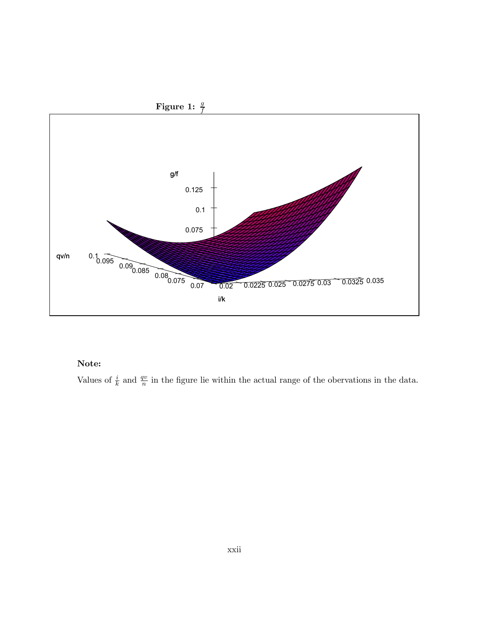

#### Note:

Values of  $\frac{i}{k}$  and  $\frac{qv}{n}$  in the figure lie within the actual range of the obervations in the data.